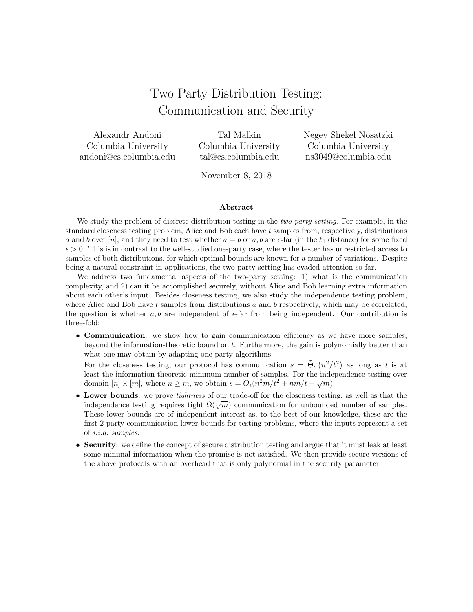# Two Party Distribution Testing: Communication and Security

Alexandr Andoni Columbia University andoni@cs.columbia.edu

Tal Malkin Columbia University tal@cs.columbia.edu

Negev Shekel Nosatzki Columbia University ns3049@columbia.edu

November 8, 2018

#### Abstract

We study the problem of discrete distribution testing in the *two-party setting*. For example, in the standard closeness testing problem, Alice and Bob each have t samples from, respectively, distributions a and b over [n], and they need to test whether  $a = b$  or a, b are  $\epsilon$ -far (in the  $\ell_1$  distance) for some fixed  $\epsilon > 0$ . This is in contrast to the well-studied one-party case, where the tester has unrestricted access to samples of both distributions, for which optimal bounds are known for a number of variations. Despite being a natural constraint in applications, the two-party setting has evaded attention so far.

We address two fundamental aspects of the two-party setting: 1) what is the communication complexity, and 2) can it be accomplished securely, without Alice and Bob learning extra information about each other's input. Besides closeness testing, we also study the independence testing problem, where Alice and Bob have  $t$  samples from distributions  $a$  and  $b$  respectively, which may be correlated; the question is whether  $a, b$  are independent of  $\epsilon$ -far from being independent. Our contribution is three-fold:

• Communication: we show how to gain communication efficiency as we have more samples, beyond the information-theoretic bound on t. Furthermore, the gain is polynomially better than what one may obtain by adapting one-party algorithms.

For the closeness testing, our protocol has communication  $s = \tilde{\Theta}_{\epsilon} (n^2/t^2)$  as long as t is at least the information-theoretic minimum number of samples. For the independence testing over domain  $[n] \times [m]$ , where  $n \ge m$ , we obtain  $s = \tilde{O}_{\epsilon}(n^2m/t^2 + nm/t + \sqrt{m})$ .

- Lower bounds: we prove tightness of our trade-off for the closeness testing, as well as that the **EXECUTE:** we prove *tightness* of our trade-on for the closeness testing, as wen as that the independence testing requires tight  $\Omega(\sqrt{m})$  communication for unbounded number of samples. These lower bounds are of independent interest as, to the best of our knowledge, these are the first 2-party communication lower bounds for testing problems, where the inputs represent a set of i.i.d. samples.
- Security: we define the concept of secure distribution testing and argue that it must leak at least some minimal information when the promise is not satisfied. We then provide secure versions of the above protocols with an overhead that is only polynomial in the security parameter.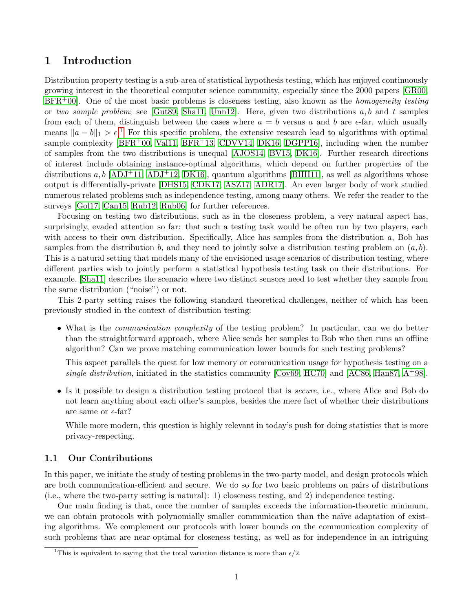# 1 Introduction

Distribution property testing is a sub-area of statistical hypothesis testing, which has enjoyed continuously growing interest in the theoretical computer science community, especially since the 2000 papers [\[GR00,](#page-34-0)  $BFR+00$  $BFR+00$ . One of the most basic problems is closeness testing, also known as the *homogeneity testing* or two sample problem; see [\[Gut89,](#page-35-0) [Sha11,](#page-36-0) [Unn12\]](#page-36-1). Here, given two distributions a, b and t samples from each of them, distinguish between the cases where  $a = b$  versus a and b are  $\epsilon$ -far, which usually means  $||a - b||_1 > \epsilon$  $||a - b||_1 > \epsilon$  $||a - b||_1 > \epsilon$ <sup>1</sup>. For this specific problem, the extensive research lead to algorithms with optimal sample complexity  $[BFR^+00, \text{Val}11, BFR^+13, CDVV14, DK16, DGPP16]$  $[BFR^+00, \text{Val}11, BFR^+13, CDVV14, DK16, DGPP16]$  $[BFR^+00, \text{Val}11, BFR^+13, CDVV14, DK16, DGPP16]$  $[BFR^+00, \text{Val}11, BFR^+13, CDVV14, DK16, DGPP16]$  $[BFR^+00, \text{Val}11, BFR^+13, CDVV14, DK16, DGPP16]$  $[BFR^+00, \text{Val}11, BFR^+13, CDVV14, DK16, DGPP16]$ , including when the number of samples from the two distributions is unequal [\[AJOS14,](#page-32-1) [BV15,](#page-33-2) [DK16\]](#page-34-1). Further research directions of interest include obtaining instance-optimal algorithms, which depend on further properties of the distributions  $a, b$  [\[ADJ](#page-32-2)+11, [ADJ](#page-32-3)+12, [DK16\]](#page-34-1), quantum algorithms [\[BHH11\]](#page-33-3), as well as algorithms whose output is differentially-private [\[DHS15,](#page-34-3) [CDK17,](#page-33-4) [ASZ17,](#page-32-4) [ADR17\]](#page-32-5). An even larger body of work studied numerous related problems such as independence testing, among many others. We refer the reader to the surveys [\[Gol17,](#page-34-4) [Can15,](#page-33-5) [Rub12,](#page-36-3) [Rub06\]](#page-36-4) for further references.

Focusing on testing two distributions, such as in the closeness problem, a very natural aspect has, surprisingly, evaded attention so far: that such a testing task would be often run by two players, each with access to their own distribution. Specifically, Alice has samples from the distribution  $a$ , Bob has samples from the distribution b, and they need to jointly solve a distribution testing problem on  $(a, b)$ . This is a natural setting that models many of the envisioned usage scenarios of distribution testing, where different parties wish to jointly perform a statistical hypothesis testing task on their distributions. For example, [\[Sha11\]](#page-36-0) describes the scenario where two distinct sensors need to test whether they sample from the same distribution ("noise") or not.

This 2-party setting raises the following standard theoretical challenges, neither of which has been previously studied in the context of distribution testing:

• What is the *communication complexity* of the testing problem? In particular, can we do better than the straightforward approach, where Alice sends her samples to Bob who then runs an offline algorithm? Can we prove matching communication lower bounds for such testing problems?

This aspect parallels the quest for low memory or communication usage for hypothesis testing on a single distribution, initiated in the statistics community [\[Cov69,](#page-34-5) [HC70\]](#page-35-1) and [\[AC86,](#page-31-0) [Han87,](#page-35-2)  $A^+$ [98\]](#page-31-1).

• Is it possible to design a distribution testing protocol that is secure, i.e., where Alice and Bob do not learn anything about each other's samples, besides the mere fact of whether their distributions are same or  $\epsilon$ -far?

While more modern, this question is highly relevant in today's push for doing statistics that is more privacy-respecting.

## 1.1 Our Contributions

In this paper, we initiate the study of testing problems in the two-party model, and design protocols which are both communication-efficient and secure. We do so for two basic problems on pairs of distributions (i.e., where the two-party setting is natural): 1) closeness testing, and 2) independence testing.

Our main finding is that, once the number of samples exceeds the information-theoretic minimum, we can obtain protocols with polynomially smaller communication than the naïve adaptation of existing algorithms. We complement our protocols with lower bounds on the communication complexity of such problems that are near-optimal for closeness testing, as well as for independence in an intriguing

<span id="page-1-0"></span><sup>&</sup>lt;sup>1</sup>This is equivalent to saying that the total variation distance is more than  $\epsilon/2$ .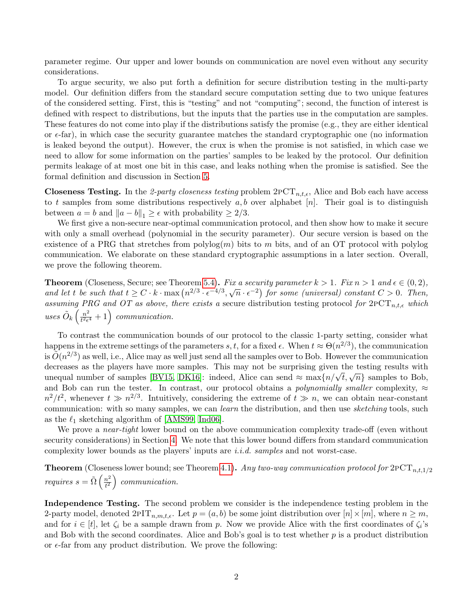parameter regime. Our upper and lower bounds on communication are novel even without any security considerations.

To argue security, we also put forth a definition for secure distribution testing in the multi-party model. Our definition differs from the standard secure computation setting due to two unique features of the considered setting. First, this is "testing" and not "computing"; second, the function of interest is defined with respect to distributions, but the inputs that the parties use in the computation are samples. These features do not come into play if the distributions satisfy the promise (e.g., they are either identical or  $\epsilon$ -far), in which case the security guarantee matches the standard cryptographic one (no information is leaked beyond the output). However, the crux is when the promise is not satisfied, in which case we need to allow for some information on the parties' samples to be leaked by the protocol. Our definition permits leakage of at most one bit in this case, and leaks nothing when the promise is satisfied. See the formal definition and discussion in Section [5.](#page-14-0)

**Closeness Testing.** In the 2-party closeness testing problem  $2PCT_{n,t,\epsilon}$ , Alice and Bob each have access to t samples from some distributions respectively  $a, b$  over alphabet  $[n]$ . Their goal is to distinguish between  $a = b$  and  $||a - b||_1 \geq \epsilon$  with probability  $\geq 2/3$ .

We first give a non-secure near-optimal communication protocol, and then show how to make it secure with only a small overhead (polynomial in the security parameter). Our secure version is based on the existence of a PRG that stretches from polylog $(m)$  bits to m bits, and of an OT protocol with polylog communication. We elaborate on these standard cryptographic assumptions in a later section. Overall, we prove the following theorem.

**Theorem** (Closeness, Secure; see Theorem [5.4\)](#page-18-0). Fix a security parameter  $k > 1$ . Fix  $n > 1$  and  $\epsilon \in (0, 2)$ , **Theorem** (Closeness, Secure, see Theorem 3.4). Further a security parameter  $\kappa > 1$ . Furth  $> 1$  and  $\epsilon \in (0, 2)$ ,<br>and let t be such that  $t \ge C \cdot k \cdot \max(n^{2/3} \cdot \epsilon^{-4/3}, \sqrt{n} \cdot \epsilon^{-2})$  for some (universal) constant  $C > 0$ . The assuming PRG and OT as above, there exists a secure distribution testing protocol for  $2PCT_{n,t,\epsilon}$  which uses  $\tilde{O}_k\left(\frac{n^2}{t^2\epsilon}\right)$  $\frac{n^2}{t^2\epsilon^4}+1$  communication.

To contrast the communication bounds of our protocol to the classic 1-party setting, consider what happens in the extreme settings of the parameters  $s, t$ , for a fixed  $\epsilon$ . When  $t \approx \Theta(n^{2/3})$ , the communication is  $\tilde{O}(n^{2/3})$  as well, i.e., Alice may as well just send all the samples over to Bob. However the communication decreases as the players have more samples. This may not be surprising given the testing results with decreases as the players have more samples. This may not be surprising given the testing results with<br>unequal number of samples [\[BV15,](#page-33-2) [DK16\]](#page-34-1): indeed, Alice can send  $\approx$  max $\{n/\sqrt{t}, \sqrt{n}\}$  samples to Bob, and Bob can run the tester. In contrast, our protocol obtains a *polynomially smaller* complexity,  $\approx$  $n^2/t^2$ , whenever  $t \gg n^{2/3}$ . Intuitively, considering the extreme of  $t \gg n$ , we can obtain near-constant communication: with so many samples, we can *learn* the distribution, and then use *sketching* tools, such as the  $\ell_1$  sketching algorithm of [\[AMS99,](#page-32-6) [Ind06\]](#page-35-3).

We prove a *near-tight* lower bound on the above communication complexity trade-off (even without security considerations) in Section [4.](#page-11-0) We note that this lower bound differs from standard communication complexity lower bounds as the players' inputs are i.i.d. samples and not worst-case.

**Theorem** (Closeness lower bound; see Theorem [4.1\)](#page-11-1). Any two-way communication protocol for  $2PCT_{n,t,1/2}$ requires  $s = \tilde{\Omega} \left( \frac{n^2}{l^2} \right)$  $\frac{n^2}{t^2}$  communication.

Independence Testing. The second problem we consider is the independence testing problem in the 2-party model, denoted  $2PT_{n,m,t,\epsilon}$ . Let  $p = (a, b)$  be some joint distribution over  $[n] \times [m]$ , where  $n \geq m$ , and for  $i \in [t]$ , let  $\zeta_i$  be a sample drawn from p. Now we provide Alice with the first coordinates of  $\zeta_i$ 's and Bob with the second coordinates. Alice and Bob's goal is to test whether  $p$  is a product distribution or  $\epsilon$ -far from any product distribution. We prove the following: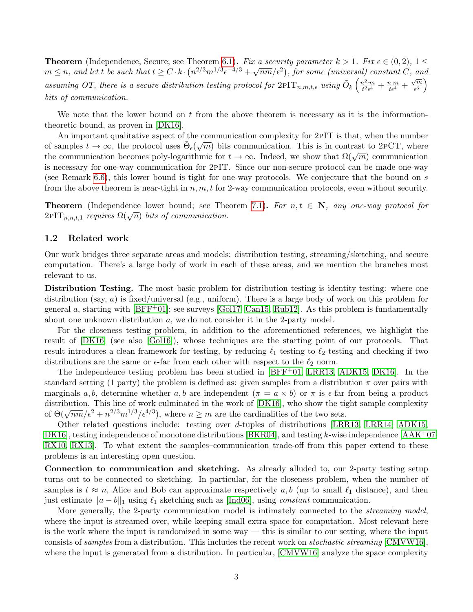**Theorem** (Independence, Secure; see Theorem [6.1\)](#page-24-0). Fix a security parameter  $k > 1$ . Fix  $\epsilon \in (0, 2)$ ,  $1 \leq$ **Theorem** (independence, secure, see Theorem 6.1). Furthermorphononumeter  $\kappa > 1$ . Furthermorphononum  $\lambda > 1$ ,  $\mu \geq 0$ ,  $\mu \geq m$ assuming OT, there is a secure distribution testing protocol for  $2PT_{n,m,t,\epsilon}$  using  $\tilde{O}_k\left(\frac{n^2\cdot m}{t^2\epsilon^4}\right)$  $\frac{n^2 \cdot m}{t^2 \epsilon^4} + \frac{n \cdot m}{t \epsilon^4} +$ √ m  $\sqrt{\frac{m}{\epsilon^3}}$ bits of communication.

We note that the lower bound on  $t$  from the above theorem is necessary as it is the informationtheoretic bound, as proven in [\[DK16\]](#page-34-1).

An important qualitative aspect of the communication complexity for 2pIT is that, when the number of samples  $t \to \infty$ , the protocol uses  $\tilde{\Theta}_{\epsilon}(\sqrt{m})$  bits communication. This is in contrast to 2PCT, where of samples  $t \to \infty$ , the protocol uses  $\Theta_{\epsilon}(\sqrt{m})$  but communication. This is in contrast to  $2PCT$ , where the communication becomes poly-logarithmic for  $t \to \infty$ . Indeed, we show that  $\Omega(\sqrt{m})$  communication is necessary for one-way communication for 2pIT. Since our non-secure protocol can be made one-way (see Remark [6.6\)](#page-27-0), this lower bound is tight for one-way protocols. We conjecture that the bound on s from the above theorem is near-tight in  $n, m, t$  for 2-way communication protocols, even without security.

**Theorem** (Independence lower bound; see Theorem [7.1\)](#page-30-0). For  $n, t \in \mathbb{N}$ , any one-way protocol for **THEOTEIN** (Independence lower bound, see The  $2PIT_{n,n,t,1}$  requires  $\Omega(\sqrt{n})$  bits of communication.

## 1.2 Related work

Our work bridges three separate areas and models: distribution testing, streaming/sketching, and secure computation. There's a large body of work in each of these areas, and we mention the branches most relevant to us.

Distribution Testing. The most basic problem for distribution testing is identity testing: where one distribution (say,  $a$ ) is fixed/universal (e.g., uniform). There is a large body of work on this problem for general a, starting with  $[BFF+01]$ ; see surveys  $[Gol17, Can15, Rub12]$  $[Gol17, Can15, Rub12]$  $[Gol17, Can15, Rub12]$ . As this problem is fundamentally about one unknown distribution a, we do not consider it in the 2-party model.

For the closeness testing problem, in addition to the aforementioned references, we highlight the result of [\[DK16\]](#page-34-1) (see also [\[Gol16\]](#page-34-6)), whose techniques are the starting point of our protocols. That result introduces a clean framework for testing, by reducing  $\ell_1$  testing to  $\ell_2$  testing and checking if two distributions are the same or  $\epsilon$ -far from each other with respect to the  $\ell_2$  norm.

The independence testing problem has been studied in [\[BFF](#page-32-7)+01, [LRR13,](#page-35-4) [ADK15,](#page-32-8) [DK16\]](#page-34-1). In the standard setting (1 party) the problem is defined as: given samples from a distribution  $\pi$  over pairs with marginals a, b, determine whether a, b are independent  $(\pi = a \times b)$  or  $\pi$  is  $\epsilon$ -far from being a product distribution. This line of work culminated in the work of [\[DK16\]](#page-34-1), who show the tight sample complexity of  $\Theta(\sqrt{nm}/\epsilon^2 + n^{2/3}m^{1/3}/\epsilon^{4/3})$ , where  $n \geq m$  are the cardinalities of the two sets.

Other related questions include: testing over d-tuples of distributions [\[LRR13,](#page-35-4) [LRR14,](#page-35-5) [ADK15,](#page-32-8) [DK16\]](#page-34-1), testing independence of monotone distributions [\[BKR04\]](#page-33-6), and testing k-wise independence  $[AAK^+07,$ [RX10,](#page-36-5) [RX13\]](#page-36-6). To what extent the samples–communication trade-off from this paper extend to these problems is an interesting open question.

Connection to communication and sketching. As already alluded to, our 2-party testing setup turns out to be connected to sketching. In particular, for the closeness problem, when the number of samples is  $t \approx n$ , Alice and Bob can approximate respectively a, b (up to small  $\ell_1$  distance), and then just estimate  $||a - b||_1$  using  $\ell_1$  sketching such as [\[Ind06\]](#page-35-3), using *constant* communication.

More generally, the 2-party communication model is intimately connected to the *streaming model*, where the input is streamed over, while keeping small extra space for computation. Most relevant here is the work where the input is randomized in some way — this is similar to our setting, where the input consists of samples from a distribution. This includes the recent work on stochastic streaming [\[CMVW16\]](#page-33-7), where the input is generated from a distribution. In particular, [\[CMVW16\]](#page-33-7) analyze the space complexity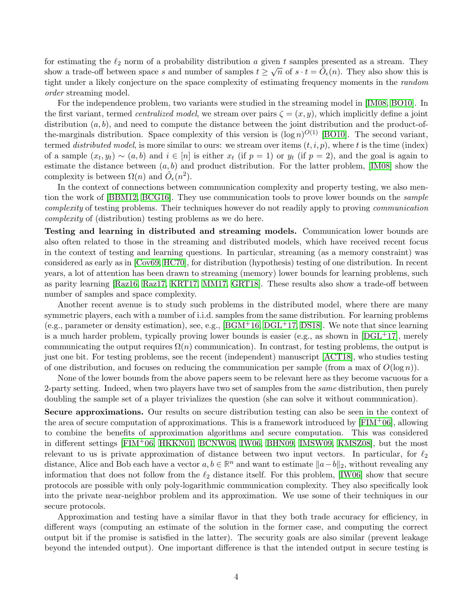for estimating the  $\ell_2$  norm of a probability distribution a given t samples presented as a stream. They show a trade-off between space s and number of samples  $t \geq \sqrt{n}$  of  $s \cdot t = \tilde{O}_{\epsilon}(n)$ . They also show this is tight under a likely conjecture on the space complexity of estimating frequency moments in the random order streaming model.

For the independence problem, two variants were studied in the streaming model in [\[IM08,](#page-35-6) [BO10\]](#page-33-8). In the first variant, termed *centralized model*, we stream over pairs  $\zeta = (x, y)$ , which implicitly define a joint distribution  $(a, b)$ , and need to compute the distance between the joint distribution and the product-ofthe-marginals distribution. Space complexity of this version is  $(\log n)^{O(1)}$  [\[BO10\]](#page-33-8). The second variant, termed *distributed model*, is more similar to ours: we stream over items  $(t, i, p)$ , where t is the time (index) of a sample  $(x_t, y_t) \sim (a, b)$  and  $i \in [n]$  is either  $x_t$  (if  $p = 1$ ) or  $y_t$  (if  $p = 2$ ), and the goal is again to estimate the distance between  $(a, b)$  and product distribution. For the latter problem, [\[IM08\]](#page-35-6) show the complexity is between  $\Omega(n)$  and  $\tilde{O}_{\epsilon}(n^2)$ .

In the context of connections between communication complexity and property testing, we also mention the work of [\[BBM12,](#page-32-9) [BCG16\]](#page-32-10). They use communication tools to prove lower bounds on the sample complexity of testing problems. Their techniques however do not readily apply to proving communication complexity of (distribution) testing problems as we do here.

Testing and learning in distributed and streaming models. Communication lower bounds are also often related to those in the streaming and distributed models, which have received recent focus in the context of testing and learning questions. In particular, streaming (as a memory constraint) was considered as early as in [\[Cov69,](#page-34-5) [HC70\]](#page-35-1), for distribution (hypothesis) testing of one distribution. In recent years, a lot of attention has been drawn to streaming (memory) lower bounds for learning problems, such as parity learning [\[Raz16,](#page-36-7) [Raz17,](#page-36-8) [KRT17,](#page-35-7) [MM17,](#page-35-8) [GRT18\]](#page-34-7). These results also show a trade-off between number of samples and space complexity.

Another recent avenue is to study such problems in the distributed model, where there are many symmetric players, each with a number of i.i.d. samples from the same distribution. For learning problems (e.g., parameter or density estimation), see, e.g.,  $[BGM<sup>+</sup>16, DGL<sup>+</sup>17, DS18]$  $[BGM<sup>+</sup>16, DGL<sup>+</sup>17, DS18]$  $[BGM<sup>+</sup>16, DGL<sup>+</sup>17, DS18]$  $[BGM<sup>+</sup>16, DGL<sup>+</sup>17, DS18]$ . We note that since learning is a much harder problem, typically proving lower bounds is easier (e.g., as shown in  $[{\rm DGL^+17}]$ , merely communicating the output requires  $\Omega(n)$  communication). In contrast, for testing problems, the output is just one bit. For testing problems, see the recent (independent) manuscript [\[ACT18\]](#page-32-11), who studies testing of one distribution, and focuses on reducing the communication per sample (from a max of  $O(\log n)$ ).

None of the lower bounds from the above papers seem to be relevant here as they become vacuous for a 2-party setting. Indeed, when two players have two set of samples from the *same* distribution, then purely doubling the sample set of a player trivializes the question (she can solve it without communication).

Secure approximations. Our results on secure distribution testing can also be seen in the context of the area of secure computation of approximations. This is a framework introduced by  $[FIN^+06]$ , allowing to combine the benefits of approximation algorithms and secure computation. This was considered in different settings [\[FIM](#page-34-10)+06, [HKKN01,](#page-35-9) [BCNW08,](#page-32-12) [IW06,](#page-35-10) [BHN09,](#page-33-10) [IMSW09,](#page-35-11) [KMSZ08\]](#page-35-12), but the most relevant to us is private approximation of distance between two input vectors. In particular, for  $\ell_2$ distance, Alice and Bob each have a vector  $a, b \in \mathbb{R}^n$  and want to estimate  $||a-b||_2$ , without revealing any information that does not follow from the  $\ell_2$  distance itself. For this problem, [\[IW06\]](#page-35-10) show that secure protocols are possible with only poly-logarithmic communication complexity. They also specifically look into the private near-neighbor problem and its approximation. We use some of their techniques in our secure protocols.

Approximation and testing have a similar flavor in that they both trade accuracy for efficiency, in different ways (computing an estimate of the solution in the former case, and computing the correct output bit if the promise is satisfied in the latter). The security goals are also similar (prevent leakage beyond the intended output). One important difference is that the intended output in secure testing is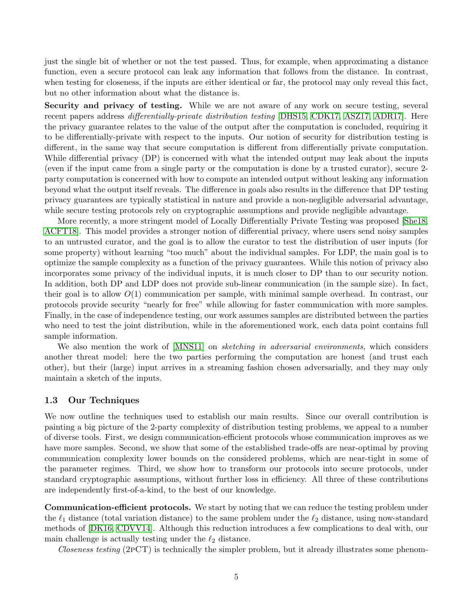just the single bit of whether or not the test passed. Thus, for example, when approximating a distance function, even a secure protocol can leak any information that follows from the distance. In contrast, when testing for closeness, if the inputs are either identical or far, the protocol may only reveal this fact, but no other information about what the distance is.

Security and privacy of testing. While we are not aware of any work on secure testing, several recent papers address *differentially-private distribution testing* [\[DHS15,](#page-34-3) [CDK17,](#page-33-4) [ASZ17,](#page-32-4) [ADR17\]](#page-32-5). Here the privacy guarantee relates to the value of the output after the computation is concluded, requiring it to be differentially-private with respect to the inputs. Our notion of security for distribution testing is different, in the same way that secure computation is different from differentially private computation. While differential privacy (DP) is concerned with what the intended output may leak about the inputs (even if the input came from a single party or the computation is done by a trusted curator), secure 2 party computation is concerned with how to compute an intended output without leaking any information beyond what the output itself reveals. The difference in goals also results in the difference that DP testing privacy guarantees are typically statistical in nature and provide a non-negligible adversarial advantage, while secure testing protocols rely on cryptographic assumptions and provide negligible advantage.

More recently, a more stringent model of Locally Differentially Private Testing was proposed [\[She18,](#page-36-9) [ACFT18\]](#page-32-13). This model provides a stronger notion of differential privacy, where users send noisy samples to an untrusted curator, and the goal is to allow the curator to test the distribution of user inputs (for some property) without learning "too much" about the individual samples. For LDP, the main goal is to optimize the sample complexity as a function of the privacy guarantees. While this notion of privacy also incorporates some privacy of the individual inputs, it is much closer to DP than to our security notion. In addition, both DP and LDP does not provide sub-linear communication (in the sample size). In fact, their goal is to allow  $O(1)$  communication per sample, with minimal sample overhead. In contrast, our protocols provide security "nearly for free" while allowing for faster communication with more samples. Finally, in the case of independence testing, our work assumes samples are distributed between the parties who need to test the joint distribution, while in the aforementioned work, each data point contains full sample information.

We also mention the work of [\[MNS11\]](#page-35-13) on *sketching in adversarial environments*, which considers another threat model: here the two parties performing the computation are honest (and trust each other), but their (large) input arrives in a streaming fashion chosen adversarially, and they may only maintain a sketch of the inputs.

#### 1.3 Our Techniques

We now outline the techniques used to establish our main results. Since our overall contribution is painting a big picture of the 2-party complexity of distribution testing problems, we appeal to a number of diverse tools. First, we design communication-efficient protocols whose communication improves as we have more samples. Second, we show that some of the established trade-offs are near-optimal by proving communication complexity lower bounds on the considered problems, which are near-tight in some of the parameter regimes. Third, we show how to transform our protocols into secure protocols, under standard cryptographic assumptions, without further loss in efficiency. All three of these contributions are independently first-of-a-kind, to the best of our knowledge.

Communication-efficient protocols. We start by noting that we can reduce the testing problem under the  $\ell_1$  distance (total variation distance) to the same problem under the  $\ell_2$  distance, using now-standard methods of [\[DK16,](#page-34-1) [CDVV14\]](#page-33-1). Although this reduction introduces a few complications to deal with, our main challenge is actually testing under the  $\ell_2$  distance.

Closeness testing (2PCT) is technically the simpler problem, but it already illustrates some phenom-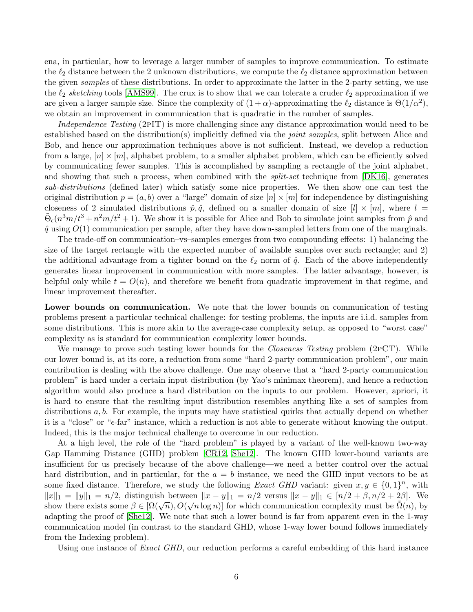ena, in particular, how to leverage a larger number of samples to improve communication. To estimate the  $\ell_2$  distance between the 2 unknown distributions, we compute the  $\ell_2$  distance approximation between the given samples of these distributions. In order to approximate the latter in the 2-party setting, we use the  $\ell_2$  sketching tools [\[AMS99\]](#page-32-6). The crux is to show that we can tolerate a cruder  $\ell_2$  approximation if we are given a larger sample size. Since the complexity of  $(1+\alpha)$ -approximating the  $\ell_2$  distance is  $\Theta(1/\alpha^2)$ , we obtain an improvement in communication that is quadratic in the number of samples.

Independence Testing (2PIT) is more challenging since any distance approximation would need to be established based on the distribution(s) implicitly defined via the *joint samples*, split between Alice and Bob, and hence our approximation techniques above is not sufficient. Instead, we develop a reduction from a large,  $[n] \times [m]$ , alphabet problem, to a smaller alphabet problem, which can be efficiently solved by communicating fewer samples. This is accomplished by sampling a rectangle of the joint alphabet, and showing that such a process, when combined with the *split-set* technique from [\[DK16\]](#page-34-1), generates sub-distributions (defined later) which satisfy some nice properties. We then show one can test the original distribution  $p = (a, b)$  over a "large" domain of size  $[n] \times [m]$  for independence by distinguishing closeness of 2 simulated distributions  $\hat{p}, \hat{q}$ , defined on a smaller domain of size  $[l] \times [m]$ , where  $l =$  $\tilde{\Theta}_{\epsilon}(n^3m/t^3 + n^2m/t^2 + 1)$ . We show it is possible for Alice and Bob to simulate joint samples from  $\hat{p}$  and  $\hat{q}$  using  $O(1)$  communication per sample, after they have down-sampled letters from one of the marginals.

The trade-off on communication–vs–samples emerges from two compounding effects: 1) balancing the size of the target rectangle with the expected number of available samples over such rectangle; and 2) the additional advantage from a tighter bound on the  $\ell_2$  norm of  $\hat{q}$ . Each of the above independently generates linear improvement in communication with more samples. The latter advantage, however, is helpful only while  $t = O(n)$ , and therefore we benefit from quadratic improvement in that regime, and linear improvement thereafter.

Lower bounds on communication. We note that the lower bounds on communication of testing problems present a particular technical challenge: for testing problems, the inputs are i.i.d. samples from some distributions. This is more akin to the average-case complexity setup, as opposed to "worst case" complexity as is standard for communication complexity lower bounds.

We manage to prove such testing lower bounds for the *Closeness Testing* problem (2pCT). While our lower bound is, at its core, a reduction from some "hard 2-party communication problem", our main contribution is dealing with the above challenge. One may observe that a "hard 2-party communication problem" is hard under a certain input distribution (by Yao's minimax theorem), and hence a reduction algorithm would also produce a hard distribution on the inputs to our problem. However, apriori, it is hard to ensure that the resulting input distribution resembles anything like a set of samples from distributions  $a, b$ . For example, the inputs may have statistical quirks that actually depend on whether it is a "close" or " $\epsilon$ -far" instance, which a reduction is not able to generate without knowing the output. Indeed, this is the major technical challenge to overcome in our reduction.

At a high level, the role of the "hard problem" is played by a variant of the well-known two-way Gap Hamming Distance (GHD) problem [\[CR12,](#page-34-11) [She12\]](#page-36-10). The known GHD lower-bound variants are insufficient for us precisely because of the above challenge—we need a better control over the actual hard distribution, and in particular, for the  $a = b$  instance, we need the GHD input vectors to be at some fixed distance. Therefore, we study the following *Exact GHD* variant: given  $x, y \in \{0, 1\}^n$ , with  $||x||_1 = ||y||_1 = n/2$ , distinguish between  $||x - y||_1 = n/2$  versus  $||x - y||_1 \in [n/2 + \beta, n/2 + 2\beta]$ . We  $||u||_1 = ||y||_1 = h/2$ , distinguish between  $||u - y||_1 = h/2$  versus  $||u - y||_1 \in [h/2 + \beta, h/2 + 2\beta]$ . We show there exists some  $\beta \in [\Omega(\sqrt{n}), O(\sqrt{n \log n})]$  for which communication complexity must be  $\tilde{\Omega}(n)$ , by adapting the proof of [\[She12\]](#page-36-10). We note that such a lower bound is far from apparent even in the 1-way communication model (in contrast to the standard GHD, whose 1-way lower bound follows immediately from the Indexing problem).

Using one instance of *Exact GHD*, our reduction performs a careful embedding of this hard instance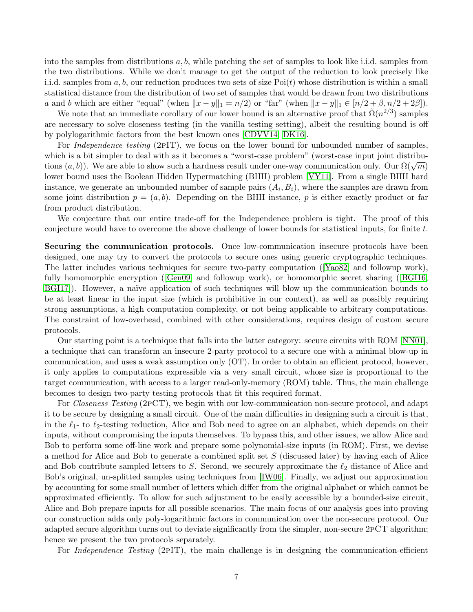into the samples from distributions  $a, b$ , while patching the set of samples to look like i.i.d. samples from the two distributions. While we don't manage to get the output of the reduction to look precisely like i.i.d. samples from  $a, b$ , our reduction produces two sets of size Poi(t) whose distribution is within a small statistical distance from the distribution of two set of samples that would be drawn from two distributions a and b which are either "equal" (when  $||x - y||_1 = n/2$ ) or "far" (when  $||x - y||_1 \in [n/2 + \beta, n/2 + 2\beta]$ ).

We note that an immediate corollary of our lower bound is an alternative proof that  $\tilde{\Omega}(n^{2/3})$  samples are necessary to solve closeness testing (in the vanilla testing setting), albeit the resulting bound is off by polylogarithmic factors from the best known ones [\[CDVV14,](#page-33-1) [DK16\]](#page-34-1).

For *Independence testing* (2PIT), we focus on the lower bound for unbounded number of samples, which is a bit simpler to deal with as it becomes a "worst-case problem" (worst-case input joint distribuwhich is a bit simpler to dear with as it becomes a worst-case problem (worst-case input joint distribu-<br>tions  $(a, b)$ ). We are able to show such a hardness result under one-way communication only. Our  $\Omega(\sqrt{m})$ lower bound uses the Boolean Hidden Hypermatching (BHH) problem [\[VY11\]](#page-36-11). From a single BHH hard instance, we generate an unbounded number of sample pairs  $(A_i, B_i)$ , where the samples are drawn from some joint distribution  $p = (a, b)$ . Depending on the BHH instance, p is either exactly product or far from product distribution.

We conjecture that our entire trade-off for the Independence problem is tight. The proof of this conjecture would have to overcome the above challenge of lower bounds for statistical inputs, for finite  $t$ .

Securing the communication protocols. Once low-communication insecure protocols have been designed, one may try to convert the protocols to secure ones using generic cryptographic techniques. The latter includes various techniques for secure two-party computation ([\[Yao82\]](#page-36-12) and followup work), fully homomorphic encryption([\[Gen09\]](#page-34-12) and followup work), or homomorphic secret sharing([\[BGI16,](#page-33-11) BGI17). However, a naïve application of such techniques will blow up the communication bounds to be at least linear in the input size (which is prohibitive in our context), as well as possibly requiring strong assumptions, a high computation complexity, or not being applicable to arbitrary computations. The constraint of low-overhead, combined with other considerations, requires design of custom secure protocols.

Our starting point is a technique that falls into the latter category: secure circuits with ROM [\[NN01\]](#page-35-14), a technique that can transform an insecure 2-party protocol to a secure one with a minimal blow-up in communication, and uses a weak assumption only (OT). In order to obtain an efficient protocol, however, it only applies to computations expressible via a very small circuit, whose size is proportional to the target communication, with access to a larger read-only-memory (ROM) table. Thus, the main challenge becomes to design two-party testing protocols that fit this required format.

For *Closeness Testing* (2PCT), we begin with our low-communication non-secure protocol, and adapt it to be secure by designing a small circuit. One of the main difficulties in designing such a circuit is that, in the  $\ell_1$ - to  $\ell_2$ -testing reduction, Alice and Bob need to agree on an alphabet, which depends on their inputs, without compromising the inputs themselves. To bypass this, and other issues, we allow Alice and Bob to perform some off-line work and prepare some polynomial-size inputs (in ROM). First, we devise a method for Alice and Bob to generate a combined split set S (discussed later) by having each of Alice and Bob contribute sampled letters to  $S$ . Second, we securely approximate the  $\ell_2$  distance of Alice and Bob's original, un-splitted samples using techniques from [\[IW06\]](#page-35-10). Finally, we adjust our approximation by accounting for some small number of letters which differ from the original alphabet or which cannot be approximated efficiently. To allow for such adjustment to be easily accessible by a bounded-size circuit, Alice and Bob prepare inputs for all possible scenarios. The main focus of our analysis goes into proving our construction adds only poly-logarithmic factors in communication over the non-secure protocol. Our adapted secure algorithm turns out to deviate significantly from the simpler, non-secure 2pCT algorithm; hence we present the two protocols separately.

For *Independence Testing* (2pIT), the main challenge is in designing the communication-efficient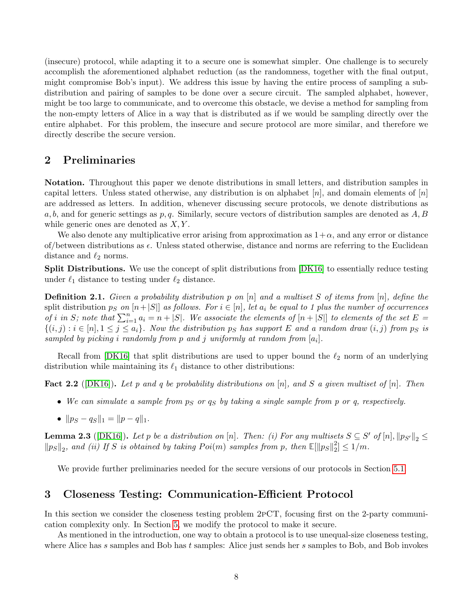(insecure) protocol, while adapting it to a secure one is somewhat simpler. One challenge is to securely accomplish the aforementioned alphabet reduction (as the randomness, together with the final output, might compromise Bob's input). We address this issue by having the entire process of sampling a subdistribution and pairing of samples to be done over a secure circuit. The sampled alphabet, however, might be too large to communicate, and to overcome this obstacle, we devise a method for sampling from the non-empty letters of Alice in a way that is distributed as if we would be sampling directly over the entire alphabet. For this problem, the insecure and secure protocol are more similar, and therefore we directly describe the secure version.

# 2 Preliminaries

Notation. Throughout this paper we denote distributions in small letters, and distribution samples in capital letters. Unless stated otherwise, any distribution is on alphabet  $[n]$ , and domain elements of  $[n]$ are addressed as letters. In addition, whenever discussing secure protocols, we denote distributions as a, b, and for generic settings as  $p, q$ . Similarly, secure vectors of distribution samples are denoted as  $A, B$ while generic ones are denoted as  $X, Y$ .

We also denote any multiplicative error arising from approximation as  $1+\alpha$ , and any error or distance of/between distributions as  $\epsilon$ . Unless stated otherwise, distance and norms are referring to the Euclidean distance and  $\ell_2$  norms.

Split Distributions. We use the concept of split distributions from [\[DK16\]](#page-34-1) to essentially reduce testing under  $\ell_1$  distance to testing under  $\ell_2$  distance.

<span id="page-8-0"></span>**Definition 2.1.** Given a probability distribution p on  $[n]$  and a multiset S of items from  $[n]$ , define the split distribution  $p_S$  on  $[n+|S|]$  as follows. For  $i \in [n]$ , let  $a_i$  be equal to 1 plus the number of occurrences of i in S; note that  $\sum_{i=1}^{n} a_i = n + |S|$ . We associate the elements of  $[n + |S|]$  to elements of the set E =  $\{(i,j): i \in [n], 1 \leq j \leq a_i\}$ . Now the distribution ps has support E and a random draw  $(i,j)$  from ps is sampled by picking i randomly from  $p$  and  $j$  uniformly at random from  $[a_i]$ .

Recall from  $[DK16]$  that split distributions are used to upper bound the  $\ell_2$  norm of an underlying distribution while maintaining its  $\ell_1$  distance to other distributions:

<span id="page-8-3"></span>**Fact 2.2** ([\[DK16\]](#page-34-1)). Let p and q be probability distributions on [n], and S a given multiset of [n]. Then

- We can simulate a sample from  $p_S$  or  $q_S$  by taking a single sample from p or q, respectively.
- $\|p_S q_S\|_1 = \|p q\|_1.$

<span id="page-8-1"></span>**Lemma 2.3** ([\[DK16\]](#page-34-1)). Let p be a distribution on [n]. Then: (i) For any multisets  $S \subseteq S'$  of  $[n], ||p_{S'}||_2 \leq$  $\|p_S\|_2$ , and (ii) If S is obtained by taking  $Poi(m)$  samples from p, then  $\mathbb{E}[\|p_S\|_2^2]$  $\binom{2}{2} \leq 1/m$ .

We provide further preliminaries needed for the secure versions of our protocols in Section [5.1.](#page-14-1)

# <span id="page-8-2"></span>3 Closeness Testing: Communication-Efficient Protocol

In this section we consider the closeness testing problem 2pCT, focusing first on the 2-party communication complexity only. In Section [5,](#page-14-0) we modify the protocol to make it secure.

As mentioned in the introduction, one way to obtain a protocol is to use unequal-size closeness testing, where Alice has s samples and Bob has t samples: Alice just sends her s samples to Bob, and Bob invokes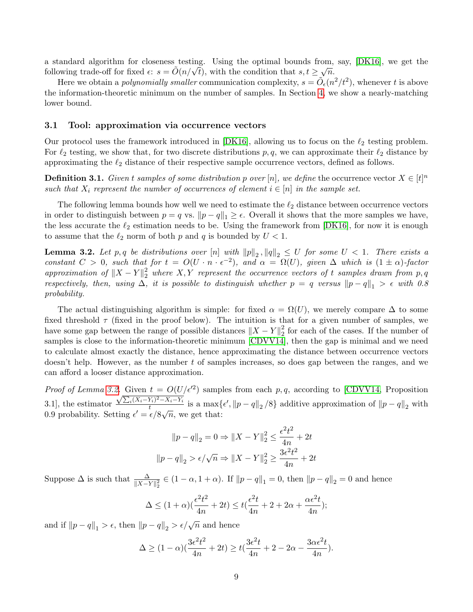a standard algorithm for closeness testing. Using the optimal bounds from, say, [\[DK16\]](#page-34-1), we get the a standard algorithm for closeness testing. Using the optimal bounds from,<br>following trade-off for fixed  $\epsilon$ :  $s = \tilde{O}(n/\sqrt{t})$ , with the condition that  $s, t \geq \sqrt{n}$ .

Here we obtain a *polynomially smaller* communication complexity,  $s = \tilde{O}_{\epsilon}(n^2/t^2)$ , whenever t is above the information-theoretic minimum on the number of samples. In Section [4,](#page-11-0) we show a nearly-matching lower bound.

#### 3.1 Tool: approximation via occurrence vectors

Our protocol uses the framework introduced in [\[DK16\]](#page-34-1), allowing us to focus on the  $\ell_2$  testing problem. For  $\ell_2$  testing, we show that, for two discrete distributions p, q, we can approximate their  $\ell_2$  distance by approximating the  $\ell_2$  distance of their respective sample occurrence vectors, defined as follows.

**Definition 3.1.** Given t samples of some distribution p over [n], we define the occurrence vector  $X \in [t]^n$ such that  $X_i$  represent the number of occurrences of element  $i \in [n]$  in the sample set.

The following lemma bounds how well we need to estimate the  $\ell_2$  distance between occurrence vectors in order to distinguish between  $p = q$  vs.  $||p - q||_1 \geq \epsilon$ . Overall it shows that the more samples we have, the less accurate the  $\ell_2$  estimation needs to be. Using the framework from  $[DK16]$ , for now it is enough to assume that the  $\ell_2$  norm of both p and q is bounded by  $U < 1$ .

<span id="page-9-0"></span>**Lemma 3.2.** Let  $p, q$  be distributions over  $[n]$  with  $||p||_2$ ,  $||q||_2 \le U$  for some  $U < 1$ . There exists a constant  $C > 0$ , such that for  $t = O(U \cdot n \cdot \epsilon^{-2})$ , and  $\alpha = \Omega(U)$ , given  $\Delta$  which is  $(1 \pm \alpha)$ -factor approximation of  $||X - Y||_2^2$  where  $X, Y$  represent the occurrence vectors of t samples drawn from p, q respectively, then, using  $\Delta$ , it is possible to distinguish whether  $p = q$  versus  $||p - q||_1 > \epsilon$  with 0.8 probability.

The actual distinguishing algorithm is simple: for fixed  $\alpha = \Omega(U)$ , we merely compare  $\Delta$  to some fixed threshold  $\tau$  (fixed in the proof below). The intuition is that for a given number of samples, we have some gap between the range of possible distances  $||X - Y||_2^2$  $\frac{2}{2}$  for each of the cases. If the number of samples is close to the information-theoretic minimum [\[CDVV14\]](#page-33-1), then the gap is minimal and we need to calculate almost exactly the distance, hence approximating the distance between occurrence vectors doesn't help. However, as the number t of samples increases, so does gap between the ranges, and we can afford a looser distance approximation.

*Proof of Lemma [3.2.](#page-9-0)* Given  $t = O(U/\epsilon'^2)$  samples from each p, q, according to [\[CDVV14,](#page-33-1) Proposition *Proof of Lemma 3.2.* Given  $t = O(U$ <br>3.1], the estimator  $\frac{\sqrt{\sum_i (X_i - Y_i)^2 - X_i - Y_i}}{t}$  $\frac{dY_i}{dt} = X_i - Y_i$  is a max $\{\epsilon', \|p - q\|_2 / 8\}$  additive approximation of  $\|p - q\|_2$  with 0.9 probability. Setting  $\epsilon' = \epsilon/8\sqrt{n}$ , we get that:

$$
||p - q||_2 = 0 \Rightarrow ||X - Y||_2^2 \le \frac{\epsilon^2 t^2}{4n} + 2t
$$
  

$$
||p - q||_2 > \epsilon/\sqrt{n} \Rightarrow ||X - Y||_2^2 \ge \frac{3\epsilon^2 t^2}{4n} + 2t
$$

Suppose  $\Delta$  is such that  $\frac{\Delta}{\|X-Y\|_2^2} \in (1-\alpha, 1+\alpha)$ . If  $||p-q||_1 = 0$ , then  $||p-q||_2 = 0$  and hence

$$
\Delta \le (1+\alpha)\left(\frac{\epsilon^2 t^2}{4n} + 2t\right) \le t\left(\frac{\epsilon^2 t}{4n} + 2 + 2\alpha + \frac{\alpha \epsilon^2 t}{4n}\right);
$$

and if  $||p - q||_1 > \epsilon$ , then  $||p - q||_2 > \epsilon / \sqrt{n}$  and hence

$$
\Delta \ge (1 - \alpha) \left( \frac{3\epsilon^2 t^2}{4n} + 2t \right) \ge t \left( \frac{3\epsilon^2 t}{4n} + 2 - 2\alpha - \frac{3\alpha \epsilon^2 t}{4n} \right).
$$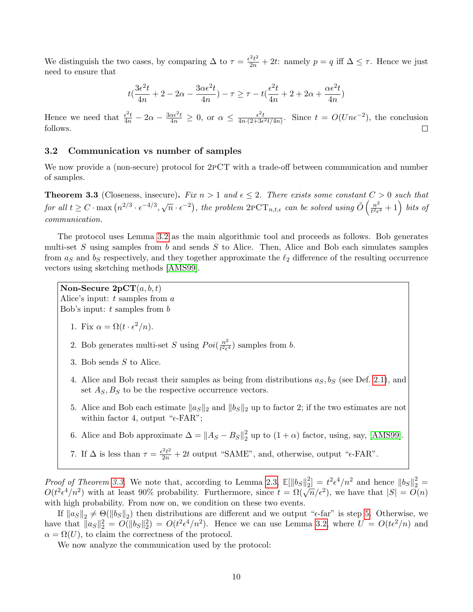We distinguish the two cases, by comparing  $\Delta$  to  $\tau = \frac{\epsilon^2 t^2}{2n} + 2t$ : namely  $p = q$  iff  $\Delta \leq \tau$ . Hence we just need to ensure that

$$
t(\frac{3\epsilon^2t}{4n}+2-2\alpha-\frac{3\alpha\epsilon^2t}{4n})-\tau\geq \tau-t(\frac{\epsilon^2t}{4n}+2+2\alpha+\frac{\alpha\epsilon^2t}{4n})
$$

Hence we need that  $\frac{\epsilon^2 t}{4n} - 2\alpha - \frac{3\alpha \epsilon^2 t}{4n} \geq 0$ , or  $\alpha \leq \frac{\epsilon^2 t}{4n \cdot (2 + 3\epsilon)}$  $\frac{\epsilon^2 t}{4n \cdot (2 + 3\epsilon^2 t/4n)}$ . Since  $t = O(Un\epsilon^{-2})$ , the conclusion follows.  $\Box$ 

## 3.2 Communication vs number of samples

We now provide a (non-secure) protocol for  $2pCT$  with a trade-off between communication and number of samples.

<span id="page-10-0"></span>**Theorem 3.3** (Closeness, insecure). Fix  $n > 1$  and  $\epsilon \leq 2$ . There exists some constant  $C > 0$  such that for all  $t \geq C \cdot \max(n^{2/3} \cdot \epsilon^{-4/3}, \sqrt{n} \cdot \epsilon^{-2})$ , the problem  $2PCT_{n,t,\epsilon}$  can be solved using  $\tilde{O}(\frac{n^2}{t^2\epsilon})$  $\frac{n^2}{t^2\epsilon^4}+1\Big)$  bits of communication.

The protocol uses Lemma [3.2](#page-9-0) as the main algorithmic tool and proceeds as follows. Bob generates multi-set  $S$  using samples from  $b$  and sends  $S$  to Alice. Then, Alice and Bob each simulates samples from  $a<sub>S</sub>$  and  $b<sub>S</sub>$  respectively, and they together approximate the  $\ell_2$  difference of the resulting occurrence vectors using sketching methods [\[AMS99\]](#page-32-6).

Non-Secure  $2pCT(a, b, t)$ Alice's input:  $t$  samples from  $a$ 

Bob's input:  $t$  samples from  $b$ 

- 1. Fix  $\alpha = \Omega(t \cdot \epsilon^2/n)$ .
- 2. Bob generates multi-set S using  $Poi(\frac{n^2}{l^2\epsilon})$  $\frac{n^2}{t^2 \epsilon^4}$ ) samples from b.
- 3. Bob sends S to Alice.
- 4. Alice and Bob recast their samples as being from distributions  $a_S, b_S$  (see Def. [2.1\)](#page-8-0), and set  $A_S, B_S$  to be the respective occurrence vectors.
- <span id="page-10-1"></span>5. Alice and Bob each estimate  $\|a_S\|_2$  and  $\|b_S\|_2$  up to factor 2; if the two estimates are not within factor 4, output " $\epsilon$ -FAR";
- 6. Alice and Bob approximate  $\Delta = \|A_S B_S\|_2^2$  $\frac{2}{2}$  up to  $(1+\alpha)$  factor, using, say, [\[AMS99\]](#page-32-6).
- 7. If  $\Delta$  is less than  $\tau = \frac{\epsilon^2 t^2}{2n} + 2t$  output "SAME", and, otherwise, output " $\epsilon$ -FAR".

*Proof of Theorem [3.3.](#page-10-0)* We note that, according to Lemma [2.3,](#page-8-1)  $\mathbb{E}[\|b_S\|_2^2]$  $\binom{2}{2} = t^2 \epsilon^4 / n^2$  and hence  $||b_S||_2^2 =$  $O(t^2 \epsilon^4/n^2)$  with at least 90% probability. Furthermore, since  $t = \Omega(\sqrt{n}/\epsilon^2)$ , we have that  $|S| = O(n)$ with high probability. From now on, we condition on these two events.

If  $||a_S||_2 \neq \Theta(||b_S||_2)$  then distributions are different and we output " $\epsilon$ -far" is step [5.](#page-10-1) Otherwise, we have that  $||a_S||_2^2 = O(||b_S||_2^2) = O(t^2 \epsilon^4/n^2)$ . Hence we can use Lemma [3.2,](#page-9-0) where  $U = O(t \epsilon^2/n)$  and  $\alpha = \Omega(U)$ , to claim the correctness of the protocol.

We now analyze the communication used by the protocol: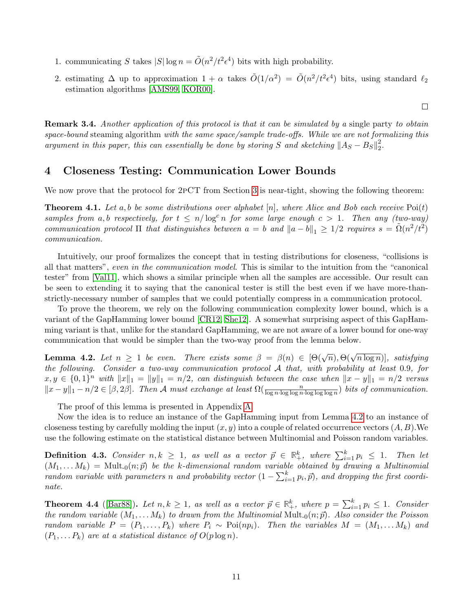- 1. communicating S takes  $|S| \log n = \tilde{O}(n^2/t^2 \epsilon^4)$  bits with high probability.
- 2. estimating  $\Delta$  up to approximation  $1 + \alpha$  takes  $\tilde{O}(1/\alpha^2) = \tilde{O}(n^2/t^2 \epsilon^4)$  bits, using standard  $\ell_2$ estimation algorithms [\[AMS99,](#page-32-6) [KOR00\]](#page-35-15).

 $\Box$ 

**Remark 3.4.** Another application of this protocol is that it can be simulated by a single party to obtain space-bound steaming algorithm with the same space/sample trade-offs. While we are not formalizing this argument in this paper, this can essentially be done by storing S and sketching  $||A_S - B_S||_2^2$  $\frac{2}{2}$ .

## <span id="page-11-0"></span>4 Closeness Testing: Communication Lower Bounds

We now prove that the protocol for  $2pCT$  from Section [3](#page-8-2) is near-tight, showing the following theorem:

<span id="page-11-1"></span>**Theorem 4.1.** Let a, b be some distributions over alphabet [n], where Alice and Bob each receive  $\text{Poi}(t)$ samples from a, b respectively, for  $t \leq n/\log^c n$  for some large enough  $c > 1$ . Then any (two-way) communication protocol  $\Pi$  that distinguishes between  $a = b$  and  $||a - b||_1 \geq 1/2$  requires  $s = \tilde{\Omega}(n^2/t^2)$ communication.

Intuitively, our proof formalizes the concept that in testing distributions for closeness, "collisions is all that matters", even in the communication model. This is similar to the intuition from the "canonical tester" from [\[Val11\]](#page-36-2), which shows a similar principle when all the samples are accessible. Our result can be seen to extending it to saying that the canonical tester is still the best even if we have more-thanstrictly-necessary number of samples that we could potentially compress in a communication protocol.

To prove the theorem, we rely on the following communication complexity lower bound, which is a variant of the GapHamming lower bound [\[CR12,](#page-34-11) [She12\]](#page-36-10). A somewhat surprising aspect of this GapHamming variant is that, unlike for the standard GapHamming, we are not aware of a lower bound for one-way communication that would be simpler than the two-way proof from the lemma below.

<span id="page-11-2"></span>**Lemma 4.2.** Let  $n \geq 1$  be even. There exists some  $\beta = \beta(n) \in [\Theta(\sqrt{n}), \Theta(\sqrt{n \log n})]$ , satisfying the following. Consider a two-way communication protocol A that, with probability at least 0.9, for  $x, y \in \{0, 1\}^n$  with  $||x||_1 = ||y||_1 = n/2$ , can distinguish between the case when  $||x - y||_1 = n/2$  versus  $||x-y||_1 - n/2 \in [\beta, 2\beta]$ . Then A must exchange at least  $\Omega(\frac{n}{\log n \cdot \log \log \log n})$  bits of communication.

The proof of this lemma is presented in Appendix [A.](#page-36-13)

Now the idea is to reduce an instance of the GapHamming input from Lemma [4.2](#page-11-2) to an instance of closeness testing by carefully molding the input  $(x, y)$  into a couple of related occurrence vectors  $(A, B)$ . We use the following estimate on the statistical distance between Multinomial and Poisson random variables.

**Definition 4.3.** Consider  $n, k \geq 1$ , as well as a vector  $\vec{p} \in \mathbb{R}^k_+$ , where  $\sum_{i=1}^k p_i \leq 1$ . Then let  $(M_1, \ldots, M_k) = \text{Mult}_{-0}(n; \vec{p})$  be the k-dimensional random variable obtained by drawing a Multinomial random variable with parameters n and probability vector  $(1 - \sum_{i=1}^{k} p_i, \vec{p})$ , and dropping the first coordinate.

<span id="page-11-3"></span>**Theorem 4.4** ([\[Bar88\]](#page-32-14)). Let  $n, k \ge 1$ , as well as a vector  $\vec{p} \in \mathbb{R}^k_+$ , where  $p = \sum_{i=1}^k p_i \le 1$ . Consider the random variable  $(M_1, \ldots M_k)$  to drawn from the Multinomial Mult<sub>-0</sub> $(n; \vec{p})$ . Also consider the Poisson random variable  $P = (P_1, \ldots, P_k)$  where  $P_i \sim \text{Poi}(np_i)$ . Then the variables  $M = (M_1, \ldots, M_k)$  and  $(P_1, \ldots, P_k)$  are at a statistical distance of  $O(p \log n)$ .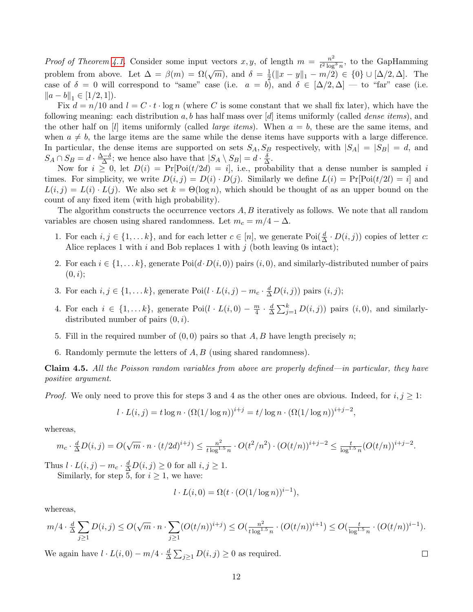*Proof of Theorem [4.1.](#page-11-1)* Consider some input vectors x, y, of length  $m = \frac{n^2}{t^2 \log n}$  $\frac{n^2}{t^2 \log^3 n}$ , to the GapHamming problem from above. Let  $\Delta = \beta(m) = \Omega(\sqrt{m})$ , and  $\delta = \frac{1}{2}$  $\frac{1}{2}(\|x-y\|_1 - m/2) \in \{0\} \cup [\Delta/2, \Delta]$ . The case of  $\delta = 0$  will correspond to "same" case (i.e.  $a = b$ ), and  $\delta \in [\Delta/2, \Delta]$  — to "far" case (i.e.  $||a - b||_1 \in [1/2, 1].$ 

Fix  $d = n/10$  and  $l = C \cdot t \cdot \log n$  (where C is some constant that we shall fix later), which have the following meaning: each distribution  $a, b$  has half mass over [d] items uniformly (called *dense items*), and the other half on [l] items uniformly (called *large items*). When  $a = b$ , these are the same items, and when  $a \neq b$ , the large items are the same while the dense items have supports with a large difference. In particular, the dense items are supported on sets  $S_A$ ,  $S_B$  respectively, with  $|S_A| = |S_B| = d$ , and  $S_A \cap S_B = d \cdot \frac{\Delta - \delta}{\Delta}$  $\frac{\Delta \Delta}{\Delta}$ ; we hence also have that  $|S_A \setminus S_B| = d \cdot \frac{\delta}{\Delta}$  $\frac{\delta}{\Delta}$ .

Now for  $i \geq 0$ , let  $D(i) = Pr[ $Poi(t/2d) = i]$ , i.e., probability that a dense number is sampled i$ times. For simplicity, we write  $D(i, j) = D(i) \cdot D(j)$ . Similarly we define  $L(i) = Pr[ $Poi(t/2i) = i]$  and$  $L(i, j) = L(i) \cdot L(j)$ . We also set  $k = \Theta(\log n)$ , which should be thought of as an upper bound on the count of any fixed item (with high probability).

The algorithm constructs the occurrence vectors A, B iteratively as follows. We note that all random variables are chosen using shared randomness. Let  $m_c = m/4 - \Delta$ .

- 1. For each  $i, j \in \{1, \ldots k\}$ , and for each letter  $c \in [n]$ , we generate  $\text{Poi}(\frac{d}{\Delta} \cdot D(i, j))$  copies of letter  $c$ : Alice replaces 1 with  $i$  and Bob replaces 1 with  $j$  (both leaving 0s intact);
- 2. For each  $i \in \{1, \ldots k\}$ , generate Poi $(d \cdot D(i, 0))$  pairs  $(i, 0)$ , and similarly-distributed number of pairs  $(0, i);$
- 3. For each  $i, j \in \{1, \ldots k\}$ , generate Poi $(l \cdot L(i, j) m_c \cdot \frac{d}{\Delta} D(i, j))$  pairs  $(i, j)$ ;
- 4. For each  $i \in \{1, \ldots k\}$ , generate  $Poi(l \cdot L(i, 0) \frac{m}{4})$  $\frac{m}{4} \cdot \frac{d}{\Delta}$  $\frac{d}{\Delta} \sum_{j=1}^{k} D(i, j)$  pairs  $(i, 0)$ , and similarlydistributed number of pairs  $(0, i)$ .
- 5. Fill in the required number of  $(0, 0)$  pairs so that A, B have length precisely n;
- 6. Randomly permute the letters of  $A, B$  (using shared randomness).

Claim 4.5. All the Poisson random variables from above are properly defined—in particular, they have positive argument.

*Proof.* We only need to prove this for steps 3 and 4 as the other ones are obvious. Indeed, for  $i, j \geq 1$ :

$$
l \cdot L(i,j) = t \log n \cdot (\Omega(1/\log n))^{i+j} = t/\log n \cdot (\Omega(1/\log n))^{i+j-2},
$$

whereas,

$$
m_c \cdot \frac{d}{\Delta}D(i,j) = O(\sqrt{m} \cdot n \cdot (t/2d)^{i+j}) \le \frac{n^2}{t \log^{1.5} n} \cdot O(t^2/n^2) \cdot (O(t/n))^{i+j-2} \le \frac{t}{\log^{1.5} n} (O(t/n))^{i+j-2}.
$$

Thus  $l \cdot L(i, j) - m_c \cdot \frac{d}{\Delta} D(i, j) \ge 0$  for all  $i, j \ge 1$ .

Similarly, for step 5, for  $i \geq 1$ , we have:

$$
l \cdot L(i,0) = \Omega(t \cdot (O(1/\log n))^{i-1}),
$$

whereas,

$$
m/4 \cdot \tfrac{d}{\Delta} \sum_{j \geq 1} D(i,j) \leq O(\sqrt{m} \cdot n \cdot \sum_{j \geq 1} (O(t/n))^{i+j}) \leq O(\tfrac{n^2}{t \log^{1.5} n} \cdot (O(t/n))^{i+1}) \leq O(\tfrac{t}{\log^{1.5} n} \cdot (O(t/n))^{i-1}).
$$

We again have  $l \cdot L(i,0) - m/4 \cdot \frac{d}{\Delta}$  $\frac{d}{\Delta} \sum_{j\geq 1} D(i, j) \geq 0$  as required.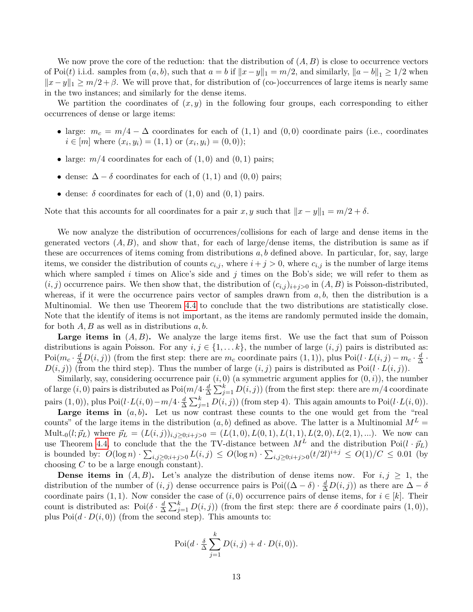We now prove the core of the reduction: that the distribution of  $(A, B)$  is close to occurrence vectors of Poi(t) i.i.d. samples from  $(a, b)$ , such that  $a = b$  if  $||x - y||_1 = m/2$ , and similarly,  $||a - b||_1 \ge 1/2$  when  $||x-y||_1 \geq m/2 + \beta$ . We will prove that, for distribution of (co-)occurrences of large items is nearly same in the two instances; and similarly for the dense items.

We partition the coordinates of  $(x, y)$  in the following four groups, each corresponding to either occurrences of dense or large items:

- large:  $m_c = m/4 \Delta$  coordinates for each of  $(1,1)$  and  $(0,0)$  coordinate pairs (i.e., coordinates  $i \in [m]$  where  $(x_i, y_i) = (1, 1)$  or  $(x_i, y_i) = (0, 0)$ ;
- large:  $m/4$  coordinates for each of  $(1,0)$  and  $(0,1)$  pairs;
- dense:  $\Delta \delta$  coordinates for each of (1, 1) and (0,0) pairs;
- dense:  $\delta$  coordinates for each of  $(1, 0)$  and  $(0, 1)$  pairs.

Note that this accounts for all coordinates for a pair x, y such that  $||x - y||_1 = m/2 + \delta$ .

We now analyze the distribution of occurrences/collisions for each of large and dense items in the generated vectors  $(A, B)$ , and show that, for each of large/dense items, the distribution is same as if these are occurrences of items coming from distributions  $a, b$  defined above. In particular, for, say, large items, we consider the distribution of counts  $c_{i,j}$ , where  $i + j > 0$ , where  $c_{i,j}$  is the number of large items which where sampled i times on Alice's side and j times on the Bob's side; we will refer to them as  $(i, j)$  occurrence pairs. We then show that, the distribution of  $(c_{i,j})_{i+j>0}$  in  $(A, B)$  is Poisson-distributed, whereas, if it were the occurrence pairs vector of samples drawn from  $a, b$ , then the distribution is a Multinomial. We then use Theorem [4.4](#page-11-3) to conclude that the two distributions are statistically close. Note that the identify of items is not important, as the items are randomly permuted inside the domain, for both  $A, B$  as well as in distributions  $a, b$ .

**Large items in**  $(A, B)$ . We analyze the large items first. We use the fact that sum of Poisson distributions is again Poisson. For any  $i, j \in \{1, \ldots k\}$ , the number of large  $(i, j)$  pairs is distributed as:  $Poi(m_c \cdot \frac{d}{\Delta}D(i,j))$  (from the first step: there are  $m_c$  coordinate pairs  $(1,1)$ ), plus  $Poi(l \cdot L(i,j) - m_c \cdot \frac{d}{\Delta}D(i,j))$  $\frac{d}{\Delta}$  .  $D(i, j)$  (from the third step). Thus the number of large  $(i, j)$  pairs is distributed as Poi $(l \cdot L(i, j))$ .

Similarly, say, considering occurrence pair  $(i, 0)$  (a symmetric argument applies for  $(0, i)$ ), the number of large  $(i,0)$  pairs is distributed as  $Poi(m/4, \frac{d}{\Delta})$  $\frac{d}{\Delta}\sum_{j=1}^k D(i,j))$  (from the first step: there are  $m/4$  coordinate pairs  $(1,0)$ ), plus Poi $(l \cdot L(i,0) - m/4 \cdot \frac{d}{\Delta}$  $\frac{d}{\Delta} \sum_{j=1}^{k} D(i, j)$  (from step 4). This again amounts to Poi $(l \cdot L(i, 0))$ .

Large items in  $(a, b)$ . Let us now contrast these counts to the one would get from the "real counts" of the large items in the distribution  $(a, b)$  defined as above. The latter is a Multinomial  $M<sup>L</sup>$ Mult<sub>-0</sub>(l;  $\vec{p}_L$ ) where  $\vec{p}_L = (L(i, j))_{i,j \geq 0; i+j>0} = (L(1, 0), L(0, 1), L(1, 1), L(2, 0), L(2, 1), \ldots)$ . We now can use Theorem [4.4,](#page-11-3) to conclude that the the TV-distance between  $M^L$  and the distribution Poi $(l \cdot \vec{p}_L)$ is bounded by:  $O(\log n) \cdot \sum_{i,j \geq 0; i+j>0} L(i,j) \leq O(\log n) \cdot \sum_{i,j \geq 0; i+j>0} (t/2l)^{i+j} \leq O(1)/C \leq 0.01$  (by choosing  $C$  to be a large enough constant).

**Dense items in**  $(A, B)$ . Let's analyze the distribution of dense items now. For  $i, j \geq 1$ , the distribution of the number of  $(i, j)$  dense occurrence pairs is Poi $((\Delta - \delta) \cdot \frac{d}{\Delta}D(i, j))$  as there are  $\Delta - \delta$ coordinate pairs (1, 1). Now consider the case of  $(i, 0)$  occurrence pairs of dense items, for  $i \in [k]$ . Their count is distributed as: Poi $(\delta \cdot \frac{d}{\Delta})$  $\frac{d}{\Delta} \sum_{j=1}^{k} D(i, j)$  (from the first step: there are  $\delta$  coordinate pairs  $(1, 0)$ ), plus  $Poi(d \cdot D(i, 0))$  (from the second step). This amounts to:

$$
Poi(d \cdot \frac{\delta}{\Delta} \sum_{j=1}^{k} D(i, j) + d \cdot D(i, 0)).
$$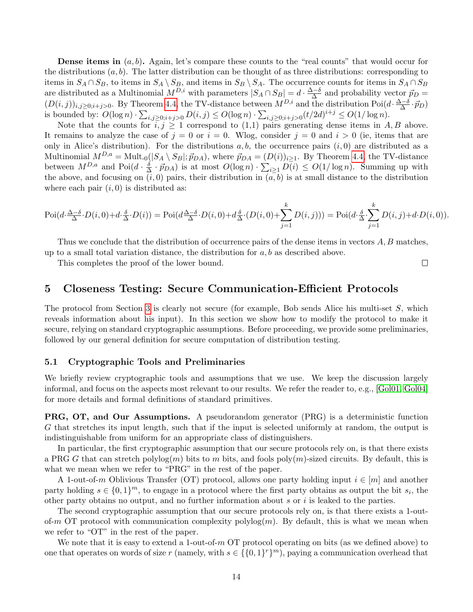**Dense items in**  $(a, b)$ . Again, let's compare these counts to the "real counts" that would occur for the distributions  $(a, b)$ . The latter distribution can be thought of as three distributions: corresponding to items in  $S_A \cap S_B$ , to items in  $S_A \setminus S_B$ , and items in  $S_B \setminus S_A$ . The occurrence counts for items in  $S_A \cap S_B$ are distributed as a Multinomial  $M^{D,i}$  with parameters  $|S_A \cap S_B| = d \cdot \frac{\Delta - \delta}{\Delta}$  $\frac{\Delta^{-\delta}}{\Delta}$  and probability vector  $\vec{p}_D =$  $(D(i, j))_{i,j \geq 0; i+j > 0}$ . By Theorem [4.4,](#page-11-3) the TV-distance between  $M^{D,i}$  and the distribution Poi $(d \cdot \frac{\Delta - \delta}{\Delta})$  $\frac{\Delta-\delta}{\Delta}\cdot\vec{p}_D)$ is bounded by:  $O(\log n) \cdot \sum_{i,j \geq 0; i+j>0} D(i,j) \leq O(\log n) \cdot \sum_{i,j \geq 0; i+j>0} (t/2d)^{i+j} \leq O(1/\log n)$ .

Note that the counts for  $i, j \geq 1$  correspond to  $(1,1)$  pairs generating dense items in A, B above. It remains to analyze the case of  $j = 0$  or  $i = 0$ . Wlog, consider  $j = 0$  and  $i > 0$  (ie, items that are only in Alice's distribution). For the distributions  $a, b$ , the occurrence pairs  $(i, 0)$  are distributed as a Multinomial  $M^{D,a} = \text{Mult}_{-0}(|S_A \setminus S_B|; \vec{p}_{DA})$ , where  $\vec{p}_{DA} = (D(i))_{i \geq 1}$ . By Theorem [4.4,](#page-11-3) the TV-distance between  $M^{D,a}$  and  $Poi(d \cdot \frac{\delta}{\Delta})$  $\frac{\delta}{\Delta} \cdot \vec{p}_{DA}$ ) is at most  $O(\log n) \cdot \sum_{i \geq 1} D(i) \leq O(1/\log n)$ . Summing up with the above, and focusing on  $(i, 0)$  pairs, their distribution in  $(a, b)$  is at small distance to the distribution where each pair  $(i, 0)$  is distributed as:

$$
\mathrm{Poi}(d\cdot \frac{\Delta-\delta}{\Delta}\cdot D(i,0) + d\cdot \frac{\delta}{\Delta}\cdot D(i)) = \mathrm{Poi}(d\frac{\Delta-\delta}{\Delta}\cdot D(i,0) + d\frac{\delta}{\Delta}\cdot (D(i,0) + \sum_{j=1}^k D(i,j))) = \mathrm{Poi}(d\cdot \frac{\delta}{\Delta}\cdot \sum_{j=1}^k D(i,j) + d\cdot D(i,0)).
$$

Thus we conclude that the distribution of occurrence pairs of the dense items in vectors  $A, B$  matches, up to a small total variation distance, the distribution for  $a, b$  as described above.

This completes the proof of the lower bound.

# <span id="page-14-0"></span>5 Closeness Testing: Secure Communication-Efficient Protocols

The protocol from Section [3](#page-8-2) is clearly not secure (for example, Bob sends Alice his multi-set S, which reveals information about his input). In this section we show how to modify the protocol to make it secure, relying on standard cryptographic assumptions. Before proceeding, we provide some preliminaries, followed by our general definition for secure computation of distribution testing.

#### <span id="page-14-1"></span>5.1 Cryptographic Tools and Preliminaries

We briefly review cryptographic tools and assumptions that we use. We keep the discussion largely informal, and focus on the aspects most relevant to our results. We refer the reader to, e.g., [\[Gol01,](#page-34-13) [Gol04\]](#page-34-14) for more details and formal definitions of standard primitives.

PRG, OT, and Our Assumptions. A pseudorandom generator (PRG) is a deterministic function G that stretches its input length, such that if the input is selected uniformly at random, the output is indistinguishable from uniform for an appropriate class of distinguishers.

In particular, the first cryptographic assumption that our secure protocols rely on, is that there exists a PRG G that can stretch polylog $(m)$  bits to m bits, and fools poly $(m)$ -sized circuits. By default, this is what we mean when we refer to "PRG" in the rest of the paper.

A 1-out-of-m Oblivious Transfer (OT) protocol, allows one party holding input  $i \in [m]$  and another party holding  $s \in \{0,1\}^m$ , to engage in a protocol where the first party obtains as output the bit  $s_i$ , the other party obtains no output, and no further information about s or i is leaked to the parties.

The second cryptographic assumption that our secure protocols rely on, is that there exists a 1-outof-m OT protocol with communication complexity polylog $(m)$ . By default, this is what we mean when we refer to "OT" in the rest of the paper.

We note that it is easy to extend a 1-out-of-m  $\overline{OT}$  protocol operating on bits (as we defined above) to one that operates on words of size r (namely, with  $s \in \{0,1\}^r\}^m$ ), paying a communication overhead that

 $\Box$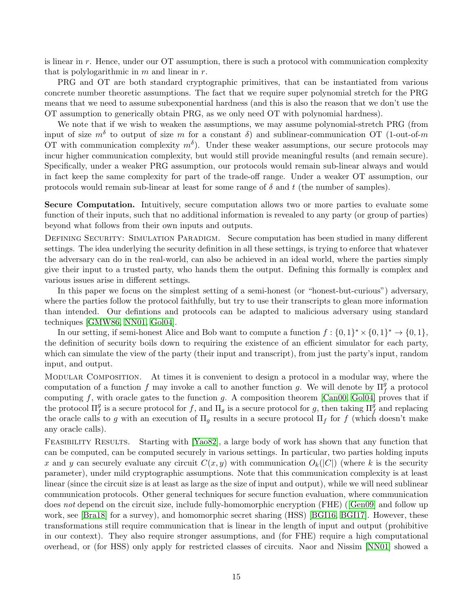is linear in  $r$ . Hence, under our OT assumption, there is such a protocol with communication complexity that is polylogarithmic in  $m$  and linear in  $r$ .

PRG and OT are both standard cryptographic primitives, that can be instantiated from various concrete number theoretic assumptions. The fact that we require super polynomial stretch for the PRG means that we need to assume subexponential hardness (and this is also the reason that we don't use the OT assumption to generically obtain PRG, as we only need OT with polynomial hardness).

We note that if we wish to weaken the assumptions, we may assume polynomial-stretch PRG (from input of size  $m<sup>δ</sup>$  to output of size m for a constant  $\delta$ ) and sublinear-communication OT (1-out-of-m OT with communication complexity  $m<sup>δ</sup>$ ). Under these weaker assumptions, our secure protocols may incur higher communication complexity, but would still provide meaningful results (and remain secure). Specifically, under a weaker PRG assumption, our protocols would remain sub-linear always and would in fact keep the same complexity for part of the trade-off range. Under a weaker OT assumption, our protocols would remain sub-linear at least for some range of  $\delta$  and t (the number of samples).

Secure Computation. Intuitively, secure computation allows two or more parties to evaluate some function of their inputs, such that no additional information is revealed to any party (or group of parties) beyond what follows from their own inputs and outputs.

DEFINING SECURITY: SIMULATION PARADIGM. Secure computation has been studied in many different settings. The idea underlying the security definition in all these settings, is trying to enforce that whatever the adversary can do in the real-world, can also be achieved in an ideal world, where the parties simply give their input to a trusted party, who hands them the output. Defining this formally is complex and various issues arise in different settings.

In this paper we focus on the simplest setting of a semi-honest (or "honest-but-curious") adversary, where the parties follow the protocol faithfully, but try to use their transcripts to glean more information than intended. Our defintions and protocols can be adapted to malicious adversary using standard techniques [\[GMW86,](#page-34-15) [NN01,](#page-35-14) [Gol04\]](#page-34-14).

In our setting, if semi-honest Alice and Bob want to compute a function  $f: \{0,1\}^* \times \{0,1\}^* \to \{0,1\}$ , the definition of security boils down to requiring the existence of an efficient simulator for each party, which can simulate the view of the party (their input and transcript), from just the party's input, random input, and output.

Modular Composition. At times it is convenient to design a protocol in a modular way, where the computation of a function f may invoke a call to another function g. We will denote by  $\Pi_f^g$  a protocol computing  $f$ , with oracle gates to the function  $g$ . A composition theorem [\[Can00,](#page-33-13) [Gol04\]](#page-34-14) proves that if the protocol  $\Pi_f^g$  is a secure protocol for f, and  $\Pi_g$  is a secure protocol for g, then taking  $\Pi_f^g$  and replacing the oracle calls to g with an execution of  $\Pi_g$  results in a secure protocol  $\Pi_f$  for f (which doesn't make any oracle calls).

Feasibility Results. Starting with [\[Yao82\]](#page-36-12), a large body of work has shown that any function that can be computed, can be computed securely in various settings. In particular, two parties holding inputs x and y can securely evaluate any circuit  $C(x, y)$  with communication  $O_k(|C|)$  (where k is the security parameter), under mild cryptographic assumptions. Note that this communication complexity is at least linear (since the circuit size is at least as large as the size of input and output), while we will need sublinear communication protocols. Other general techniques for secure function evaluation, where communication does not depend on the circuit size, include fully-homomorphic encryption (FHE) ([\[Gen09\]](#page-34-12) and follow up work, see [\[Bra18\]](#page-33-14) for a survey), and homomorphic secret sharing (HSS) [\[BGI16,](#page-33-11) [BGI17\]](#page-33-12). However, these transformations still require communication that is linear in the length of input and output (prohibitive in our context). They also require stronger assumptions, and (for FHE) require a high computational overhead, or (for HSS) only apply for restricted classes of circuits. Naor and Nissim [\[NN01\]](#page-35-14) showed a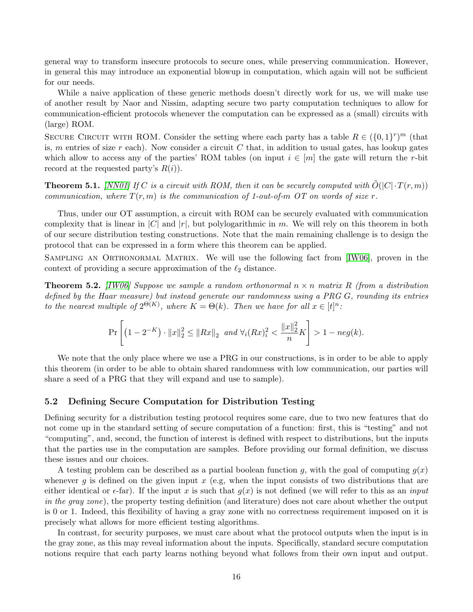general way to transform insecure protocols to secure ones, while preserving communication. However, in general this may introduce an exponential blowup in computation, which again will not be sufficient for our needs.

While a naive application of these generic methods doesn't directly work for us, we will make use of another result by Naor and Nissim, adapting secure two party computation techniques to allow for communication-efficient protocols whenever the computation can be expressed as a (small) circuits with (large) ROM.

SECURE CIRCUIT WITH ROM. Consider the setting where each party has a table  $R \in (\{0,1\}^r)^m$  (that is, m entries of size r each). Now consider a circuit C that, in addition to usual gates, has lookup gates which allow to access any of the parties' ROM tables (on input  $i \in [m]$  the gate will return the r-bit record at the requested party's  $R(i)$ .

<span id="page-16-1"></span>**Theorem 5.1.** [\[NN01\]](#page-35-14) If C is a circuit with ROM, then it can be securely computed with  $\tilde{O}(|C| \cdot T(r, m))$ communication, where  $T(r, m)$  is the communication of 1-out-of-m OT on words of size r.

Thus, under our OT assumption, a circuit with ROM can be securely evaluated with communication complexity that is linear in  $|C|$  and  $|r|$ , but polylogarithmic in m. We will rely on this theorem in both of our secure distribution testing constructions. Note that the main remaining challenge is to design the protocol that can be expressed in a form where this theorem can be applied.

SAMPLING AN ORTHONORMAL MATRIX. We will use the following fact from [\[IW06\]](#page-35-10), proven in the context of providing a secure approximation of the  $\ell_2$  distance.

<span id="page-16-0"></span>**Theorem 5.2.** [\[IW06\]](#page-35-10) Suppose we sample a random orthonormal  $n \times n$  matrix R (from a distribution defined by the Haar measure) but instead generate our randomness using a PRG G, rounding its entries to the nearest multiple of  $2^{\Theta(K)}$ , where  $K = \Theta(k)$ . Then we have for all  $x \in [t]^n$ .

$$
\Pr\left[\left(1-2^{-K}\right) \cdot \|x\|_2^2 \le \|Rx\|_2 \text{ and } \forall i (Rx)_i^2 < \frac{\|x\|_2^2}{n} \right] > 1 - neg(k).
$$

We note that the only place where we use a PRG in our constructions, is in order to be able to apply this theorem (in order to be able to obtain shared randomness with low communication, our parties will share a seed of a PRG that they will expand and use to sample).

## 5.2 Defining Secure Computation for Distribution Testing

Defining security for a distribution testing protocol requires some care, due to two new features that do not come up in the standard setting of secure computation of a function: first, this is "testing" and not "computing", and, second, the function of interest is defined with respect to distributions, but the inputs that the parties use in the computation are samples. Before providing our formal definition, we discuss these issues and our choices.

A testing problem can be described as a partial boolean function q, with the goal of computing  $g(x)$ whenever g is defined on the given input  $x$  (e.g, when the input consists of two distributions that are either identical or  $\epsilon$ -far). If the input x is such that  $q(x)$  is not defined (we will refer to this as an *input* in the gray zone), the property testing definition (and literature) does not care about whether the output is 0 or 1. Indeed, this flexibility of having a gray zone with no correctness requirement imposed on it is precisely what allows for more efficient testing algorithms.

In contrast, for security purposes, we must care about what the protocol outputs when the input is in the gray zone, as this may reveal information about the inputs. Specifically, standard secure computation notions require that each party learns nothing beyond what follows from their own input and output.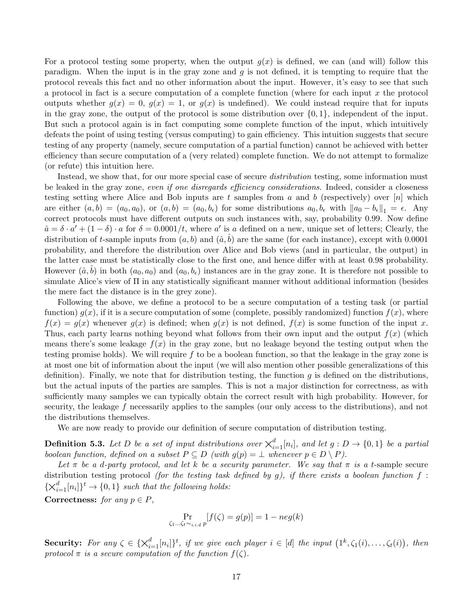For a protocol testing some property, when the output  $g(x)$  is defined, we can (and will) follow this paradigm. When the input is in the gray zone and  $g$  is not defined, it is tempting to require that the protocol reveals this fact and no other information about the input. However, it's easy to see that such a protocol in fact is a secure computation of a complete function (where for each input x the protocol outputs whether  $q(x) = 0$ ,  $q(x) = 1$ , or  $q(x)$  is undefined). We could instead require that for inputs in the gray zone, the output of the protocol is some distribution over  $\{0, 1\}$ , independent of the input. But such a protocol again is in fact computing some complete function of the input, which intuitively defeats the point of using testing (versus computing) to gain efficiency. This intuition suggests that secure testing of any property (namely, secure computation of a partial function) cannot be achieved with better efficiency than secure computation of a (very related) complete function. We do not attempt to formalize (or refute) this intuition here.

Instead, we show that, for our more special case of secure *distribution* testing, some information must be leaked in the gray zone, even if one disregards efficiency considerations. Indeed, consider a closeness testing setting where Alice and Bob inputs are t samples from a and b (respectively) over  $[n]$  which are either  $(a, b) = (a_0, a_0)$ , or  $(a, b) = (a_0, b_\epsilon)$  for some distributions  $a_0, b_\epsilon$  with  $\|a_0 - b_\epsilon\|_1 = \epsilon$ . Any correct protocols must have different outputs on such instances with, say, probability 0.99. Now define  $\hat{a} = \delta \cdot a' + (1 - \delta) \cdot a$  for  $\delta = 0.0001/t$ , where a' is a defined on a new, unique set of letters; Clearly, the distribution of t-sample inputs from  $(a, b)$  and  $(\hat{a}, b)$  are the same (for each instance), except with 0.0001 probability, and therefore the distribution over Alice and Bob views (and in particular, the output) in the latter case must be statistically close to the first one, and hence differ with at least 0.98 probability. However  $(\hat{a}, b)$  in both  $(a_0, a_0)$  and  $(a_0, b_\epsilon)$  instances are in the gray zone. It is therefore not possible to simulate Alice's view of Π in any statistically significant manner without additional information (besides the mere fact the distance is in the grey zone).

Following the above, we define a protocol to be a secure computation of a testing task (or partial function)  $g(x)$ , if it is a secure computation of some (complete, possibly randomized) function  $f(x)$ , where  $f(x) = g(x)$  whenever  $g(x)$  is defined; when  $g(x)$  is not defined,  $f(x)$  is some function of the input x. Thus, each party learns nothing beyond what follows from their own input and the output  $f(x)$  (which means there's some leakage  $f(x)$  in the gray zone, but no leakage beyond the testing output when the testing promise holds). We will require f to be a boolean function, so that the leakage in the gray zone is at most one bit of information about the input (we will also mention other possible generalizations of this definition). Finally, we note that for distribution testing, the function  $g$  is defined on the distributions, but the actual inputs of the parties are samples. This is not a major distinction for correctness, as with sufficiently many samples we can typically obtain the correct result with high probability. However, for security, the leakage f necessarily applies to the samples (our only access to the distributions), and not the distributions themselves.

We are now ready to provide our definition of secure computation of distribution testing.

**Definition 5.3.** Let D be a set of input distributions over  $\chi_{i=1}^d[n_i]$ , and let  $g: D \to \{0,1\}$  be a partial boolean function, defined on a subset  $P \subseteq D$  (with  $g(p) = \bot$  whenever  $p \in D \setminus P$ ).

Let  $\pi$  be a d-party protocol, and let k be a security parameter. We say that  $\pi$  is a t-sample secure distribution testing protocol (for the testing task defined by  $g$ ), if there exists a boolean function  $f$ :  $\{\times_{i=1}^d [n_i]\}^t \rightarrow \{0,1\}$  such that the following holds:

Correctness: for any  $p \in P$ ,

$$
\Pr_{\zeta_1...\zeta_t \sim_{i.i.d} p} [f(\zeta) = g(p)] = 1 - neg(k)
$$

Security: For any  $\zeta \in \{\times_{i=1}^d [n_i]\}^t$ , if we give each player  $i \in [d]$  the input  $(1^k, \zeta_1(i), \ldots, \zeta_t(i))$ , then protocol  $\pi$  is a secure computation of the function  $f(\zeta)$ .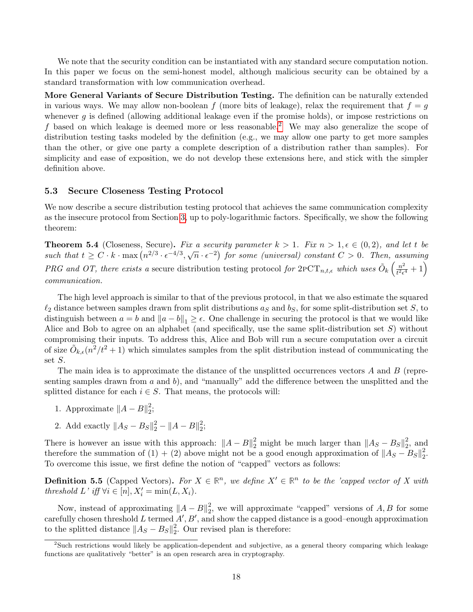We note that the security condition can be instantiated with any standard secure computation notion. In this paper we focus on the semi-honest model, although malicious security can be obtained by a standard transformation with low communication overhead.

More General Variants of Secure Distribution Testing. The definition can be naturally extended in various ways. We may allow non-boolean f (more bits of leakage), relax the requirement that  $f = g$ whenever q is defined (allowing additional leakage even if the promise holds), or impose restrictions on f based on which leakage is deemed more or less reasonable.<sup>[2](#page-18-1)</sup> We may also generalize the scope of distribution testing tasks modeled by the definition (e.g., we may allow one party to get more samples than the other, or give one party a complete description of a distribution rather than samples). For simplicity and ease of exposition, we do not develop these extensions here, and stick with the simpler definition above.

## 5.3 Secure Closeness Testing Protocol

We now describe a secure distribution testing protocol that achieves the same communication complexity as the insecure protocol from Section [3,](#page-8-2) up to poly-logarithmic factors. Specifically, we show the following theorem:

<span id="page-18-0"></span>**Theorem 5.4** (Closeness, Secure). Fix a security parameter  $k > 1$ . Fix  $n > 1, \epsilon \in (0, 2)$ , and let t be **Theorem 3.4** (Coseness, Secure). Put a security parameter  $\kappa > 1$ . Put  $n > 1$ ,  $\epsilon \in (0, 2)$ , and let t be such that  $t \ge C \cdot k \cdot \max(n^{2/3} \cdot \epsilon^{-4/3}, \sqrt{n} \cdot \epsilon^{-2})$  for some (universal) constant  $C > 0$ . Then, assuming PRG and OT, there exists a secure distribution testing protocol for  $2pCT_{n,t,\epsilon}$  which uses  $\tilde{O}_k\left(\frac{n^2}{t^2\epsilon}\right)$  $\frac{n^2}{t^2\epsilon^4}+1\Big)$ communication.

The high level approach is similar to that of the previous protocol, in that we also estimate the squared  $\ell_2$  distance between samples drawn from split distributions  $a_S$  and  $b_S$ , for some split-distribution set S, to distinguish between  $a = b$  and  $||a - b||_1 \ge \epsilon$ . One challenge in securing the protocol is that we would like Alice and Bob to agree on an alphabet (and specifically, use the same split-distribution set  $S$ ) without compromising their inputs. To address this, Alice and Bob will run a secure computation over a circuit of size  $\tilde{O}_{k,\epsilon}(n^2/t^2+1)$  which simulates samples from the split distribution instead of communicating the set S.

The main idea is to approximate the distance of the unsplitted occurrences vectors  $A$  and  $B$  (representing samples drawn from  $a$  and  $b$ ), and "manually" add the difference between the unsplitted and the splitted distance for each  $i \in S$ . That means, the protocols will:

- 1. Approximate  $||A B||_2^2$  $\frac{2}{2}$
- 2. Add exactly  $||A_S B_S||_2^2 ||A B||_2^2$  $\frac{2}{2}$

There is however an issue with this approach:  $||A - B||_2^2$  might be much larger than  $||A_S - B_S||_2^2$  $2^2$ , and therefore the summation of (1) + (2) above might not be a good enough approximation of  $||A_S - B_S||_2^2$ 2 . To overcome this issue, we first define the notion of "capped" vectors as follows:

**Definition 5.5** (Capped Vectors). For  $X \in \mathbb{R}^n$ , we define  $X' \in \mathbb{R}^n$  to be the 'capped vector of X with threshold  $L'$  iff  $\forall i \in [n], X'_i = \min(L, X_i)$ .

Now, instead of approximating  $||A - B||_2^2$  $_2^2$ , we will approximate "capped" versions of  $A, B$  for some carefully chosen threshold L termed  $A', B'$ , and show the capped distance is a good–enough approximation to the splitted distance  $||A_S - B_S||_2^2$  $\frac{2}{2}$ . Our revised plan is therefore:

<span id="page-18-1"></span><sup>2</sup>Such restrictions would likely be application-dependent and subjective, as a general theory comparing which leakage functions are qualitatively "better" is an open research area in cryptography.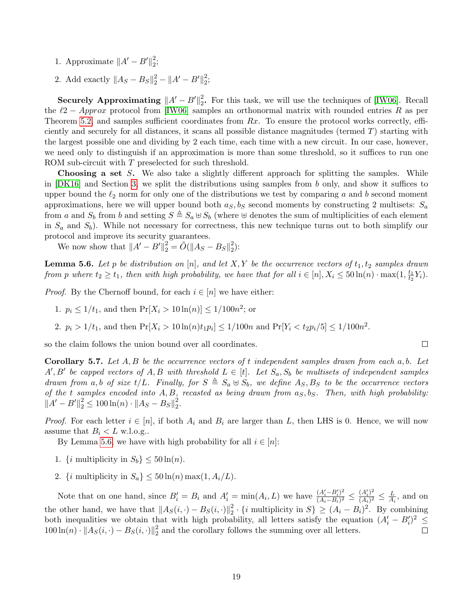- 1. Approximate  $||A' B'||_2^2$  $\frac{2}{2}$
- 2. Add exactly  $||A_S B_S||_2^2 ||A' B'||_2^2$  $\frac{2}{2}$

Securely Approximating  $||A' - B'||_2^2$  $\frac{2}{2}$ . For this task, we will use the techniques of [\[IW06\]](#page-35-10). Recall the  $\ell$ 2 − Approx protocol from [\[IW06\]](#page-35-10) samples an orthonormal matrix with rounded entries R as per Theorem [5.2,](#page-16-0) and samples sufficient coordinates from  $Rx$ . To ensure the protocol works correctly, efficiently and securely for all distances, it scans all possible distance magnitudes (termed T) starting with the largest possible one and dividing by 2 each time, each time with a new circuit. In our case, however, we need only to distinguish if an approximation is more than some threshold, so it suffices to run one ROM sub-circuit with T preselected for such threshold.

**Choosing a set S.** We also take a slightly different approach for splitting the samples. While in [\[DK16\]](#page-34-1) and Section [3,](#page-8-2) we split the distributions using samples from b only, and show it suffices to upper bound the  $\ell_2$  norm for only one of the distributions we test by comparing a and b second moment approximations, here we will upper bound both  $a<sub>S</sub>$ ,  $b<sub>S</sub>$  second moments by constructing 2 multisets:  $S<sub>a</sub>$ from a and  $S_b$  from b and setting  $S \triangleq S_a \oplus S_b$  (where  $\oplus$  denotes the sum of multiplicities of each element in  $S_a$  and  $S_b$ ). While not necessary for correctness, this new technique turns out to both simplify our protocol and improve its security guarantees.

We now show that  $||A' - B'||_2^2 = \tilde{O}(||A_S - B_S||_2^2)$  $_{2}^{2}$ ):

<span id="page-19-0"></span>**Lemma 5.6.** Let p be distribution on [n], and let X, Y be the occurrence vectors of  $t_1, t_2$  samples drawn from p where  $t_2 \geq t_1$ , then with high probability, we have that for all  $i \in [n]$ ,  $X_i \leq 50 \ln(n) \cdot \max(1, \frac{t_1}{t_2})$  $\frac{t_1}{t_2}Y_i$ .

*Proof.* By the Chernoff bound, for each  $i \in [n]$  we have either:

- 1.  $p_i \leq 1/t_1$ , and then  $Pr[X_i > 10 \ln(n)] \leq 1/100n^2$ ; or
- 2.  $p_i > 1/t_1$ , and then  $Pr[X_i > 10 \ln(n)t_1p_i] \le 1/100n$  and  $Pr[Y_i < t_2p_i/5] \le 1/100n^2$ .

so the claim follows the union bound over all coordinates.

<span id="page-19-1"></span>**Corollary 5.7.** Let  $A, B$  be the occurrence vectors of t independent samples drawn from each  $a, b$ . Let  $A', B'$  be capped vectors of A, B with threshold  $L \in [t]$ . Let  $S_a, S_b$  be multisets of independent samples drawn from a, b of size t/L. Finally, for  $S \triangleq S_a \oplus S_b$ , we define  $A_S, B_S$  to be the occurrence vectors of the t samples encoded into  $A, B$ , recasted as being drawn from  $a_S, b_S$ . Then, with high probability:  $||A' - B'||_2^2 \le 100 \ln(n) \cdot ||A_S - B_S||_2^2$ 2 .

 $\Box$ 

*Proof.* For each letter  $i \in [n]$ , if both  $A_i$  and  $B_i$  are larger than L, then LHS is 0. Hence, we will now assume that  $B_i < L$  w.l.o.g..

By Lemma [5.6,](#page-19-0) we have with high probability for all  $i \in [n]$ :

- 1. {*i* multiplicity in  $S_b$ }  $\leq 50 \ln(n)$ .
- 2. {*i* multiplicity in  $S_a$ }  $\leq 50 \ln(n) \max(1, A_i/L)$ .

Note that on one hand, since  $B_i' = B_i$  and  $A_i' = \min(A_i, L)$  we have  $\frac{(A_i' - B_i')^2}{(A_i - B_i)^2}$  $\frac{(A_i'-B_i')^2}{(A_i-B_i)^2} \leq \frac{(A_i')^2}{(A_i)^2}$  $\frac{(A_i')^2}{(A_i)^2} \leq \frac{L}{A_i}$  $\frac{L}{A_i}$ , and on the other hand, we have that  $||A_S(i, \cdot) - B_S(i, \cdot)||_2^2$  $\frac{2}{2} \cdot \{i \text{ multiplicity in } S\} \geq (A_i - B_i)^2$ . By combining both inequalities we obtain that with high probability, all letters satisfy the equation  $(A_i - B_i')^2 \leq$  $100 \ln(n) \cdot \|A_S(i, \cdot) - B_S(i, \cdot)\|_2^2$  $\frac{2}{2}$  and the corollary follows the summing over all letters.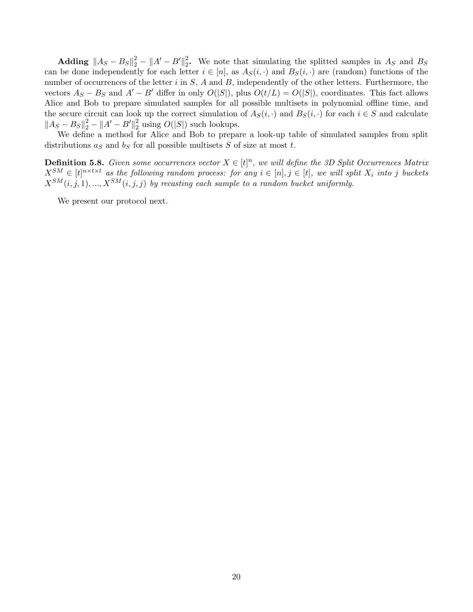$\mathbf{Adding \; \; } \| A_S - B_S \|_2^2 - \| A' - B' \|_2^2$ <sup>2</sup>/<sub>2</sub>. We note that simulating the splitted samples in  $A<sub>S</sub>$  and  $B<sub>S</sub>$ can be done independently for each letter  $i \in [n]$ , as  $A_S(i, \cdot)$  and  $B_S(i, \cdot)$  are (random) functions of the number of occurrences of the letter  $i$  in  $S$ ,  $A$  and  $B$ , independently of the other letters. Furthermore, the vectors  $A_S - B_S$  and  $A' - B'$  differ in only  $O(|S|)$ , plus  $O(t/L) = O(|S|)$ , coordinates. This fact allows Alice and Bob to prepare simulated samples for all possible multisets in polynomial offline time, and the secure circuit can look up the correct simulation of  $A_S(i, \cdot)$  and  $B_S(i, \cdot)$  for each  $i \in S$  and calculate  $||A_S - B_S||_2^2 - ||A' - B'||_2^2$  $2\over 2$  using  $O(|S|)$  such lookups.

We define a method for Alice and Bob to prepare a look-up table of simulated samples from split distributions  $a<sub>S</sub>$  and  $b<sub>S</sub>$  for all possible multisets S of size at most t.

**Definition 5.8.** Given some occurrences vector  $X \in [t]^n$ , we will define the 3D Split Occurrences Matrix  $X^{SM} \in [t]^{n \times t \times t}$  as the following random process: for any  $i \in [n], j \in [t]$ , we will split  $X_i$  into j buckets  $X^{SM}(i, j, 1), ..., X^{SM}(i, j, j)$  by recasting each sample to a random bucket uniformly.

We present our protocol next.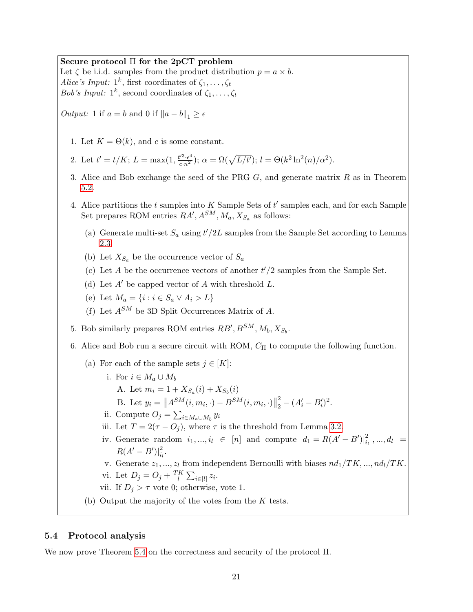## Secure protocol Π for the 2pCT problem

Let  $\zeta$  be i.i.d. samples from the product distribution  $p = a \times b$ . Alice's Input:  $1^k$ , first coordinates of  $\zeta_1, \ldots, \zeta_t$ Bob's Input:  $1^k$ , second coordinates of  $\zeta_1, \ldots, \zeta_t$ 

*Output:* 1 if  $a = b$  and 0 if  $||a - b||_1 \ge \epsilon$ 

- 1. Let  $K = \Theta(k)$ , and c is some constant.
- 2. Let  $t' = t/K$ ;  $L = \max(1, \frac{t'^3 \cdot \epsilon^4}{c n^2})$ ;  $\alpha = \Omega(\sqrt{L/t'})$ ;  $l = \Theta(k^2 \ln^2(n)/\alpha^2)$ .
- 3. Alice and Bob exchange the seed of the PRG  $G$ , and generate matrix  $R$  as in Theorem [5.2.](#page-16-0)
- <span id="page-21-0"></span>4. Alice partitions the  $t$  samples into  $K$  Sample Sets of  $t'$  samples each, and for each Sample Set prepares ROM entries  $RA', A^{SM}, M_a, X_{S_a}$  as follows:
	- (a) Generate multi-set  $S_a$  using  $t'/2L$  samples from the Sample Set according to Lemma [2.3.](#page-8-1)
	- (b) Let  $X_{S_a}$  be the occurrence vector of  $S_a$
	- (c) Let A be the occurrence vectors of another  $t'/2$  samples from the Sample Set.
	- (d) Let  $A'$  be capped vector of A with threshold L.
	- (e) Let  $M_a = \{i : i \in S_a \vee A_i > L\}$
	- (f) Let  $A^{SM}$  be 3D Split Occurrences Matrix of A.
- <span id="page-21-1"></span>5. Bob similarly prepares ROM entries  $RB', B^{SM}, M_b, X_{S_b}$ .
- <span id="page-21-2"></span>6. Alice and Bob run a secure circuit with ROM,  $C_{\Pi}$  to compute the following function.
	- (a) For each of the sample sets  $j \in [K]$ :
		- i. For  $i \in M_a \cup M_b$ 
			- A. Let  $m_i = 1 + X_{S_a}(i) + X_{S_b}(i)$
			- B. Let  $y_i = \|A^{SM}(i, m_i, \cdot) B^{SM}(i, m_i, \cdot)\|$ 2  $\frac{2}{2} - (A'_i - B'_i)^2.$
		- ii. Compute  $O_j = \sum_{i \in M_a \cup M_b} y_i$
		- iii. Let  $T = 2(\tau O_i)$ , where  $\tau$  is the threshold from Lemma [3.2.](#page-9-0)
		- iv. Generate random  $i_1, ..., i_l \in [n]$  and compute  $d_1 = R(A' B')\vert_i^2$  $a_1^2, ..., a_l^2 =$  $R(A' - B')|_{i,j}^2$  $\frac{z}{i_l}$ .
		- v. Generate  $z_1, ..., z_l$  from independent Bernoulli with biases  $nd_1/TK, ..., nd_l/TK$ .

vi. Let 
$$
D_j = O_j + \frac{TK}{l} \sum_{i \in [l]} z_i
$$
.

- vii. If  $D_j > \tau$  vote 0; otherwise, vote 1.
- (b) Output the majority of the votes from the  $K$  tests.

## 5.4 Protocol analysis

We now prove Theorem [5.4](#page-18-0) on the correctness and security of the protocol Π.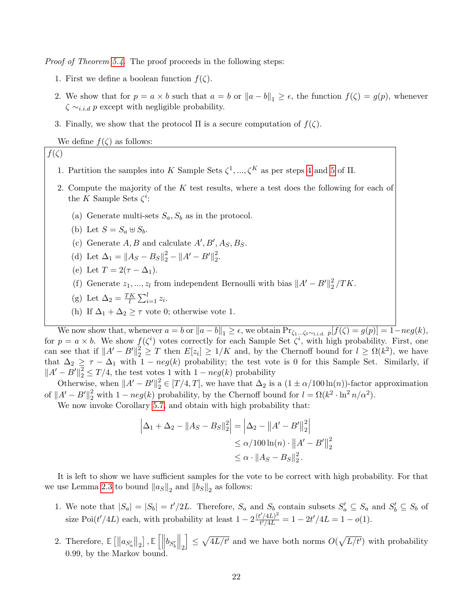Proof of Theorem [5.4.](#page-18-0) The proof proceeds in the following steps:

- 1. First we define a boolean function  $f(\zeta)$ .
- 2. We show that for  $p = a \times b$  such that  $a = b$  or  $||a b||_1 \ge \epsilon$ , the function  $f(\zeta) = g(p)$ , whenever  $\zeta \sim_{i.i.d} p$  except with negligible probability.
- 3. Finally, we show that the protocol  $\Pi$  is a secure computation of  $f(\zeta)$ .

We define  $f(\zeta)$  as follows:

## $f(\zeta)$

- 1. Partition the samples into K Sample Sets  $\zeta^1, \ldots, \zeta^K$  as per steps [4](#page-21-0) and [5](#page-21-1) of  $\Pi$ .
- 2. Compute the majority of the K test results, where a test does the following for each of the K Sample Sets  $\zeta^i$ :
	- (a) Generate multi-sets  $S_a$ ,  $S_b$  as in the protocol.
	- (b) Let  $S = S_a \oplus S_b$ .
	- (c) Generate  $A, B$  and calculate  $A', B', A<sub>S</sub>, B<sub>S</sub>$ .
	- (d) Let  $\Delta_1 = ||A_S B_S||_2^2 ||A' B'||_2^2$  $\frac{2}{2}$ .
	- (e) Let  $T = 2(\tau \Delta_1)$ .
	- (f) Generate  $z_1, ..., z_l$  from independent Bernoulli with bias  $||A' B'||_2^2$  $\frac{2}{2}/TK.$
	- (g) Let  $\Delta_2 = \frac{TK}{l}$  $\frac{K}{l} \sum_{i=1}^{l} z_i$ .
	- (h) If  $\Delta_1 + \Delta_2 \geq \tau$  vote 0; otherwise vote 1.

We now show that, whenever  $a = b$  or  $||a - b||_1 \ge \epsilon$ , we obtain  $\Pr_{\zeta_1...\zeta_t\sim_{i.i.d.} p}[f(\zeta) = g(p)] = 1 - neg(k)$ , for  $p = a \times b$ . We show  $f(\zeta^i)$  votes correctly for each Sample Set  $\zeta^i$ , with high probability. First, one can see that if  $||A' - B'||_2^2 \geq T$  then  $E[z_i] \geq 1/K$  and, by the Chernoff bound for  $l \geq \Omega(k^2)$ , we have that  $\Delta_2 \geq \tau - \Delta_1$  with  $1 - neg(k)$  probability; the test vote is 0 for this Sample Set. Similarly, if  $||A' - B'||_2^2 \le T/4$ , the test votes 1 with  $1 - neg(k)$  probability

Otherwise, when  $||A' - B'||_2^2 \in [T/4, T]$ , we have that  $\Delta_2$  is a  $(1 \pm \alpha/100 \ln(n))$ -factor approximation of  $||A' - B'||_2^2$  with  $1 - neg(k)$  probability, by the Chernoff bound for  $l = \Omega(k^2 \cdot \ln^2 n/\alpha^2)$ .

We now invoke Corollary [5.7,](#page-19-1) and obtain with high probability that:

$$
\left|\Delta_1 + \Delta_2 - \|A_S - B_S\|_2^2\right| = \left|\Delta_2 - \|A' - B'\|_2^2\right|
$$
  
\n
$$
\leq \alpha/100 \ln(n) \cdot \|A' - B'\|_2^2
$$
  
\n
$$
\leq \alpha \cdot \|A_S - B_S\|_2^2.
$$

It is left to show we have sufficient samples for the vote to be correct with high probability. For that we use Lemma [2.3](#page-8-1) to bound  $||a_S||_2$  and  $||b_S||_2$  as follows:

- 1. We note that  $|S_a| = |S_b| = t'/2L$ . Therefore,  $S_a$  and  $S_b$  contain subsets  $S'_a \subseteq S_a$  and  $S'_b \subseteq S_b$  of size Poi( $t'/4L$ ) each, with probability at least  $1 - 2\frac{(t'/4L)^2}{t'/4L}$  $t^{\prime}/4L)^2 \over t^{\prime}/4L} = 1 - 2t^{\prime}/4L = 1 - o(1).$
- 2. Therefore,  $\mathbb{E}\left[\left\|a_{S'_a}\right\|_2\right]$ ,  $\mathbb{E}\left[\left\|b_{S'_b}\right\|_2\right]$  $\big\|_2$  $\left[ \frac{1}{2} \leq \sqrt{4L/t'} \right]$  and we have both norms  $O(\sqrt{L/t'})$  with probability 0.99, by the Markov bound.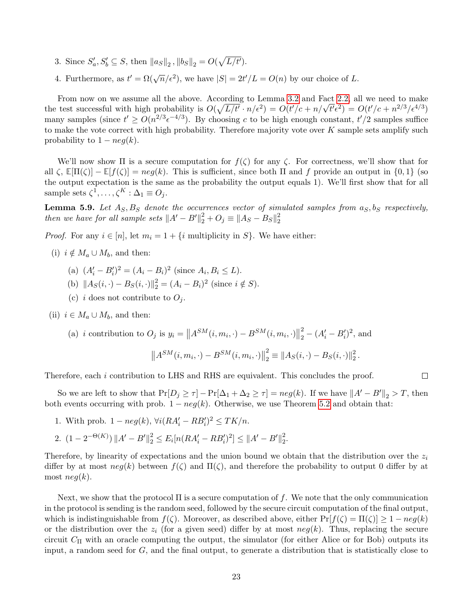- 3. Since  $S'_a, S'_b \subseteq S$ , then  $||a_S||_2$ ,  $||b_S||_2 = O(\sqrt{L/t'})$ .
- 4. Furthermore, as  $t' = \Omega(\sqrt{n}/\epsilon^2)$ , we have  $|S| = 2t'/L = O(n)$  by our choice of L.

From now on we assume all the above. According to Lemma [3.2](#page-9-0) and Fact [2.2,](#page-8-3) all we need to make From now on we assume an the above. According to Lemma 3.2 and Fact 2.2, an we need to make<br>the test successful with high probability is  $O(\sqrt{L/t} \cdot n/\epsilon^2) = O(t'/c + n/\sqrt{t'}\epsilon^2) = O(t'/c + n^{2/3}/\epsilon^{4/3})$ many samples (since  $t' \ge O(n^{2/3} \epsilon^{-4/3})$ ). By choosing c to be high enough constant,  $t'/2$  samples suffice to make the vote correct with high probability. Therefore majority vote over  $K$  sample sets amplify such probability to  $1 - neg(k)$ .

We'll now show  $\Pi$  is a secure computation for  $f(\zeta)$  for any  $\zeta$ . For correctness, we'll show that for all  $\zeta$ ,  $\mathbb{E}[\Pi(\zeta)] - \mathbb{E}[f(\zeta)] = neg(k)$ . This is sufficient, since both  $\Pi$  and f provide an output in  $\{0,1\}$  (so the output expectation is the same as the probability the output equals 1). We'll first show that for all sample sets  $\zeta^1, \ldots, \zeta^K : \Delta_1 \equiv O_j.$ 

**Lemma 5.9.** Let  $A_S$ ,  $B_S$  denote the occurrences vector of simulated samples from  $a_S$ ,  $b_S$  respectively, then we have for all sample sets  $||A' - B'||_2^2 + O_j \equiv ||A_S - B_S||_2^2$ 2

*Proof.* For any  $i \in [n]$ , let  $m_i = 1 + \{i \text{ multiplicity in } S\}$ . We have either:

- (i)  $i \notin M_a \cup M_b$ , and then:
	- (a)  $(A'_i B'_i)^2 = (A_i B_i)^2$  (since  $A_i, B_i \le L$ ).
	- (b)  $||A_S(i, \cdot) B_S(i, \cdot)||_2^2 = (A_i B_i)^2$  (since  $i \notin S$ ).
	- (c) i does not contribute to  $O_i$ .
- (ii)  $i \in M_a \cup M_b$ , and then:

(a) *i* contribution to  $O_j$  is  $y_i = ||A^{SM}(i, m_i, \cdot) - B^{SM}(i, m_i, \cdot)||$ 2  $\frac{2}{2} - (A'_i - B'_i)^2$ , and

$$
\left\|A^{SM}(i, m_i, \cdot) - B^{SM}(i, m_i, \cdot)\right\|_2^2 \equiv \left\|A_S(i, \cdot) - B_S(i, \cdot)\right\|_2^2.
$$

 $\Box$ 

Therefore, each i contribution to LHS and RHS are equivalent. This concludes the proof.

So we are left to show that  $Pr[D_j \ge \tau] - Pr[\Delta_1 + \Delta_2 \ge \tau] = neg(k)$ . If we have  $||A' - B'||_2 > T$ , then both events occurring with prob.  $1 - neg(k)$ . Otherwise, we use Theorem [5.2](#page-16-0) and obtain that:

- 1. With prob.  $1 neg(k)$ ,  $\forall i (RA'_i RB'_i)^2 \leq TK/n$ .
- 2.  $(1 2^{-\Theta(K)}) ||A' B'||_2^2 \le E_i[n(RA_i' RB_i')^2] \le ||A' B'||_2^2$ 2 .

Therefore, by linearity of expectations and the union bound we obtain that the distribution over the  $z_i$ differ by at most  $neg(k)$  between  $f(\zeta)$  and  $\Pi(\zeta)$ , and therefore the probability to output 0 differ by at most  $neq(k)$ .

Next, we show that the protocol  $\Pi$  is a secure computation of f. We note that the only communication in the protocol is sending is the random seed, followed by the secure circuit computation of the final output, which is indistinguishable from  $f(\zeta)$ . Moreover, as described above, either  $\Pr[f(\zeta) = \Pi(\zeta)] \ge 1 - neg(k)$ or the distribution over the  $z_i$  (for a given seed) differ by at most  $neg(k)$ . Thus, replacing the secure circuit  $C_{\Pi}$  with an oracle computing the output, the simulator (for either Alice or for Bob) outputs its input, a random seed for G, and the final output, to generate a distribution that is statistically close to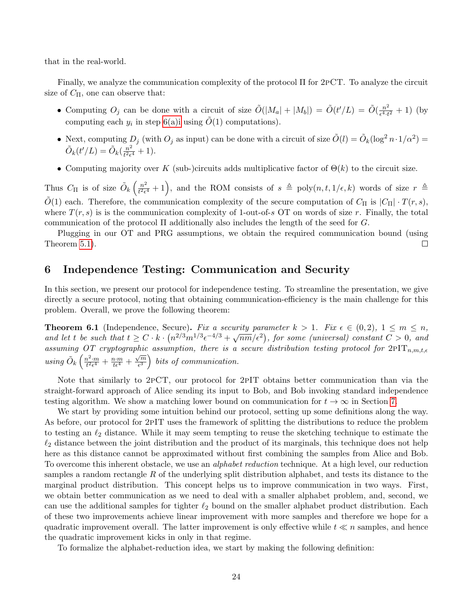that in the real-world.

Finally, we analyze the communication complexity of the protocol Π for 2pCT. To analyze the circuit size of  $C_{\Pi}$ , one can observe that:

- Computing  $O_j$  can be done with a circuit of size  $\tilde{O}(|M_a|+|M_b|) = \tilde{O}(t'/L) = \tilde{O}(\frac{n^2}{\epsilon^4 \cdot t})$  $\frac{n^2}{e^4 \cdot t^2} + 1$  (by computing each  $y_i$  in step 6(a) iusing  $\tilde{O}(1)$  computations).
- Next, computing  $D_j$  (with  $O_j$  as input) can be done with a circuit of size  $\tilde{O}(l) = \tilde{O}_k(\log^2 n \cdot 1/\alpha^2)$  $\tilde{O}_k(t'/L) = \tilde{O}_k(\frac{n^2}{t^2\epsilon})$  $\frac{n^2}{t^2\epsilon^4}+1$ ).
- Computing majority over K (sub-)circuits adds multiplicative factor of  $\Theta(k)$  to the circuit size.

Thus  $C_{\Pi}$  is of size  $\tilde{O}_k\left(\frac{n^2}{t^2\epsilon}\right)$  $\frac{n^2}{t^2\epsilon^4}+1$ , and the ROM consists of  $s \triangleq \text{poly}(n, t, 1/\epsilon, k)$  words of size  $r \triangleq$  $O(1)$  each. Therefore, the communication complexity of the secure computation of  $C_{\Pi}$  is  $|C_{\Pi}| \cdot T(r, s)$ , where  $T(r, s)$  is is the communication complexity of 1-out-of-s OT on words of size r. Finally, the total communication of the protocol  $\Pi$  additionally also includes the length of the seed for  $G$ .

Plugging in our OT and PRG assumptions, we obtain the required communication bound (using Theorem [5.1\)](#page-16-1).  $\Box$ 

# 6 Independence Testing: Communication and Security

In this section, we present our protocol for independence testing. To streamline the presentation, we give directly a secure protocol, noting that obtaining communication-efficiency is the main challenge for this problem. Overall, we prove the following theorem:

<span id="page-24-0"></span>**Theorem 6.1** (Independence, Secure). Fix a security parameter  $k > 1$ . Fix  $\epsilon \in (0, 2)$ ,  $1 \le m \le n$ , **Theorem 0.1** (independence, secure). For a security parameter  $\kappa > 1$ . For  $\epsilon \in (0, 2)$ ,  $1 \leq m \leq n$ ,<br>and let t be such that  $t \geq C \cdot k \cdot (n^{2/3}m^{1/3}\epsilon^{-4/3} + \sqrt{n}m/\epsilon^2)$ , for some (universal) constant  $C > 0$ , and assuming OT cryptographic assumption, there is a secure distribution testing protocol for  $2PT_{n,m,t,\epsilon}$ using  $\tilde{O}_k\left(\frac{n^2 \cdot m}{t^2 \epsilon^4}\right)$  $\frac{n^2 \cdot m}{t^2 \epsilon^4} + \frac{n \cdot m}{t \epsilon^4} + \frac{\sqrt{m}}{\epsilon^3}$  $\left(\frac{\sqrt{m}}{\epsilon^3}\right)$  bits of communication.

Note that similarly to 2pCT, our protocol for 2pIT obtains better communication than via the straight-forward approach of Alice sending its input to Bob, and Bob invoking standard independence testing algorithm. We show a matching lower bound on communication for  $t \to \infty$  in Section [7.](#page-30-1)

We start by providing some intuition behind our protocol, setting up some definitions along the way. As before, our protocol for 2pIT uses the framework of splitting the distributions to reduce the problem to testing an  $\ell_2$  distance. While it may seem tempting to reuse the sketching technique to estimate the  $\ell_2$  distance between the joint distribution and the product of its marginals, this technique does not help here as this distance cannot be approximated without first combining the samples from Alice and Bob. To overcome this inherent obstacle, we use an *alphabet reduction* technique. At a high level, our reduction samples a random rectangle R of the underlying split distribution alphabet, and tests its distance to the marginal product distribution. This concept helps us to improve communication in two ways. First, we obtain better communication as we need to deal with a smaller alphabet problem, and, second, we can use the additional samples for tighter  $\ell_2$  bound on the smaller alphabet product distribution. Each of these two improvements achieve linear improvement with more samples and therefore we hope for a quadratic improvement overall. The latter improvement is only effective while  $t \ll n$  samples, and hence the quadratic improvement kicks in only in that regime.

To formalize the alphabet-reduction idea, we start by making the following definition: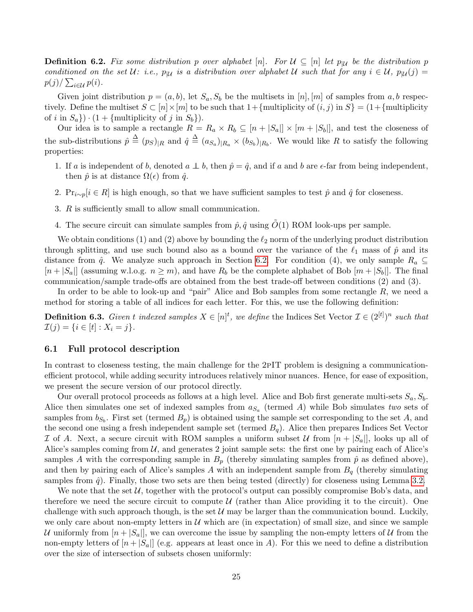**Definition 6.2.** Fix some distribution p over alphabet [n]. For  $\mathcal{U} \subseteq [n]$  let  $p_{|\mathcal{U}|}$  be the distribution p conditioned on the set U: i.e.,  $p_{|\mathcal{U}}$  is a distribution over alphabet U such that for any  $i \in \mathcal{U}$ ,  $p_{|\mathcal{U}}(j) =$  $p(j)/\sum_{i\in\mathcal{U}}p(i)$ .

Given joint distribution  $p = (a, b)$ , let  $S_a$ ,  $S_b$  be the multisets in [n], [m] of samples from a, b respectively. Define the multiset  $S \subset [n] \times [m]$  to be such that  $1 + \{\text{multiplicity of } (i, j) \text{ in } S\} = (1 + \{\text{multiplicity of } (i, j)\}$ of i in  $S_a$ })  $\cdot$  (1 + {multiplicity of j in  $S_b$ }).

Our idea is to sample a rectangle  $R = R_a \times R_b \subseteq [n + |S_a|] \times [m + |S_b|]$ , and test the closeness of the sub-distributions  $\hat{p} \triangleq (p_S)_{|R}$  and  $\hat{q} \triangleq (a_{S_a})_{|R_a} \times (b_{S_b})_{|R_b}$ . We would like R to satisfy the following properties:

- 1. If a is independent of b, denoted  $a \perp b$ , then  $\hat{p} = \hat{q}$ , and if a and b are  $\epsilon$ -far from being independent, then  $\hat{p}$  is at distance  $\Omega(\epsilon)$  from  $\hat{q}$ .
- 2. Pr<sub>i∼p</sub>[i ∈ R] is high enough, so that we have sufficient samples to test  $\hat{p}$  and  $\hat{q}$  for closeness.
- 3. R is sufficiently small to allow small communication.
- 4. The secure circuit can simulate samples from  $\hat{p}, \hat{q}$  using  $\tilde{O}(1)$  ROM look-ups per sample.

We obtain conditions (1) and (2) above by bounding the  $\ell_2$  norm of the underlying product distribution through splitting, and use such bound also as a bound over the variance of the  $\ell_1$  mass of  $\hat{p}$  and its distance from  $\hat{q}$ . We analyze such approach in Section [6.2.](#page-28-0) For condition (4), we only sample  $R_a \subseteq$  $[n+|S_a|]$  (assuming w.l.o.g.  $n \geq m$ ), and have  $R_b$  be the complete alphabet of Bob  $[m+|S_b|]$ . The final communication/sample trade-offs are obtained from the best trade-off between conditions (2) and (3).

In order to be able to look-up and "pair" Alice and Bob samples from some rectangle  $R$ , we need a method for storing a table of all indices for each letter. For this, we use the following definition:

**Definition 6.3.** Given t indexed samples  $X \in [n]^t$ , we define the Indices Set Vector  $\mathcal{I} \in (2^{[t]})^n$  such that  $\mathcal{I}(j) = \{i \in [t] : X_i = j\}.$ 

## 6.1 Full protocol description

In contrast to closeness testing, the main challenge for the 2pIT problem is designing a communicationefficient protocol, while adding security introduces relatively minor nuances. Hence, for ease of exposition, we present the secure version of our protocol directly.

Our overall protocol proceeds as follows at a high level. Alice and Bob first generate multi-sets  $S_a$ ,  $S_b$ . Alice then simulates one set of indexed samples from  $a_{S_a}$  (termed A) while Bob simulates two sets of samples from  $b_{S_b}$ . First set (termed  $B_p$ ) is obtained using the sample set corresponding to the set A, and the second one using a fresh independent sample set (termed  $B<sub>q</sub>$ ). Alice then prepares Indices Set Vector I of A. Next, a secure circuit with ROM samples a uniform subset U from  $[n + |S_a|]$ , looks up all of Alice's samples coming from  $U$ , and generates 2 joint sample sets: the first one by pairing each of Alice's samples A with the corresponding sample in  $B_p$  (thereby simulating samples from  $\hat{p}$  as defined above), and then by pairing each of Alice's samples A with an independent sample from  $B<sub>q</sub>$  (thereby simulating samples from  $\hat{q}$ ). Finally, those two sets are then being tested (directly) for closeness using Lemma [3.2.](#page-9-0)

We note that the set  $\mathcal{U}$ , together with the protocol's output can possibly compromise Bob's data, and therefore we need the secure circuit to compute  $\mathcal U$  (rather than Alice providing it to the circuit). One challenge with such approach though, is the set  $\mathcal U$  may be larger than the communication bound. Luckily, we only care about non-empty letters in  $\mathcal U$  which are (in expectation) of small size, and since we sample U uniformly from  $[n+|S_a|]$ , we can overcome the issue by sampling the non-empty letters of U from the non-empty letters of  $[n + |S_a|]$  (e.g. appears at least once in A). For this we need to define a distribution over the size of intersection of subsets chosen uniformly: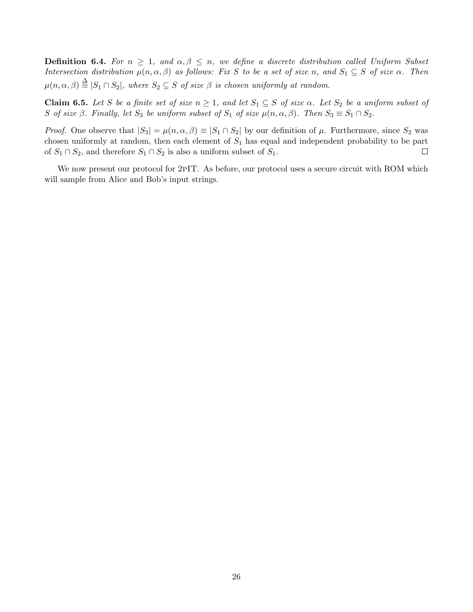**Definition 6.4.** For  $n \geq 1$ , and  $\alpha, \beta \leq n$ , we define a discrete distribution called Uniform Subset Intersection distribution  $\mu(n, \alpha, \beta)$  as follows: Fix S to be a set of size n, and  $S_1 \subseteq S$  of size  $\alpha$ . Then  $\mu(n, \alpha, \beta) \stackrel{\Delta}{\equiv} |S_1 \cap S_2|$ , where  $S_2 \subseteq S$  of size  $\beta$  is chosen uniformly at random.

<span id="page-26-0"></span>Claim 6.5. Let S be a finite set of size  $n \geq 1$ , and let  $S_1 \subseteq S$  of size  $\alpha$ . Let  $S_2$  be a uniform subset of S of size  $\beta$ . Finally, let  $S_3$  be uniform subset of  $S_1$  of size  $\mu(n, \alpha, \beta)$ . Then  $S_3 \equiv S_1 \cap S_2$ .

*Proof.* One observe that  $|S_3| = \mu(n, \alpha, \beta) \equiv |S_1 \cap S_2|$  by our definition of  $\mu$ . Furthermore, since  $S_2$  was chosen uniformly at random, then each element of  $S_1$  has equal and independent probability to be part of  $S_1 \cap S_2$ , and therefore  $S_1 \cap S_2$  is also a uniform subset of  $S_1$ .  $\Box$ 

We now present our protocol for 2PIT. As before, our protocol uses a secure circuit with ROM which will sample from Alice and Bob's input strings.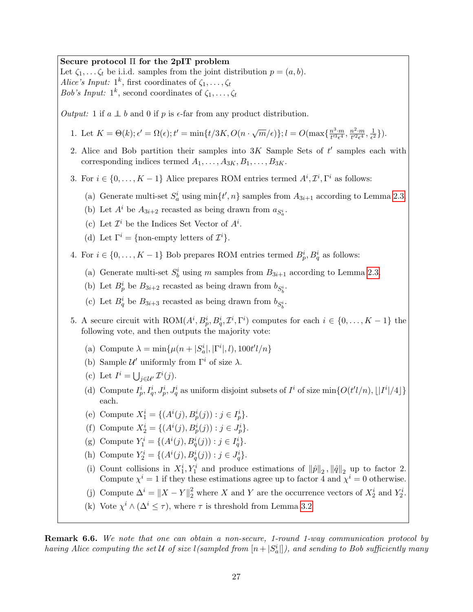Secure protocol Π for the 2pIT problem

Let  $\zeta_1, \ldots, \zeta_t$  be i.i.d. samples from the joint distribution  $p = (a, b)$ . Alice's Input:  $1^k$ , first coordinates of  $\zeta_1, \ldots, \zeta_t$ Bob's Input:  $1^k$ , second coordinates of  $\zeta_1, \ldots, \zeta_t$ 

Output: 1 if  $a \perp b$  and 0 if p is  $\epsilon$ -far from any product distribution.

1. Let  $K = \Theta(k)$ ;  $\epsilon' = \Omega(\epsilon)$ ;  $t' = \min\{t/3K, O(n \cdot \sqrt{m}/\epsilon)\}\;;\ l = O(\max\{\frac{n^3 \cdot m}{t'^3 \epsilon^4}\})$  $\frac{n^3 \cdot m}{t'^3 \epsilon^4}, \frac{n^2 \cdot m}{t'^2 \epsilon^4}$  $\frac{n^2\cdot m}{t'^2\epsilon^4}, \frac{1}{\epsilon^2}$  $\frac{1}{\epsilon^2}\}$ ).

- 2. Alice and Bob partition their samples into  $3K$  Sample Sets of  $t'$  samples each with corresponding indices termed  $A_1, \ldots, A_{3K}, B_1, \ldots, B_{3K}$ .
- 3. For  $i \in \{0, \ldots, K-1\}$  Alice prepares ROM entries termed  $A^i, \mathcal{I}^i, \Gamma^i$  as follows:
	- (a) Generate multi-set  $S_a^i$  using  $\min\{t', n\}$  samples from  $A_{3i+1}$  according to Lemma [2.3.](#page-8-1)
	- (b) Let  $A^i$  be  $A_{3i+2}$  recasted as being drawn from  $a_{S_a^i}$ .
	- (c) Let  $\mathcal{I}^i$  be the Indices Set Vector of  $A^i$ .
	- (d) Let  $\Gamma^i = \{\text{non-empty letters of } \mathcal{I}^i\}.$
- 4. For  $i \in \{0, \ldots, K-1\}$  Bob prepares ROM entries termed  $B_p^i, B_q^i$  as follows:
	- (a) Generate multi-set  $S_b^i$  using m samples from  $B_{3i+1}$  according to Lemma [2.3.](#page-8-1)
	- (b) Let  $B_p^i$  be  $B_{3i+2}$  recasted as being drawn from  $b_{S_b^i}$ .
	- (c) Let  $B_q^i$  be  $B_{3i+3}$  recasted as being drawn from  $b_{S_b^i}$ .
- 5. A secure circuit with  $ROM(A^i, B_p^i, B_q^i, \mathcal{I}^i, \Gamma^i)$  computes for each  $i \in \{0, ..., K-1\}$  the following vote, and then outputs the majority vote:
	- (a) Compute  $\lambda = \min\{\mu(n + |S_a^i|, |\Gamma^i|, l), 100t'l/n\}$
	- (b) Sample  $\mathcal{U}'$  uniformly from  $\Gamma^i$  of size  $\lambda$ .
	- (c) Let  $I^i = \bigcup_{j \in \mathcal{U}'} \mathcal{I}^i(j)$ .
	- (d) Compute  $I_p^i$ ,  $I_q^i$ ,  $J_p^i$ ,  $J_q^i$  as uniform disjoint subsets of  $I^i$  of size  $\min\{O(t'l/n), \lfloor |I^i|/4\rfloor\}$ each.
	- (e) Compute  $X_1^i = \{(A^i(j), B_p^i(j)) : j \in I_p^i\}.$
	- (f) Compute  $X_2^i = \{(A^i(j), B_p^i(j)) : j \in J_p^i\}.$
	- (g) Compute  $Y_1^i = \{(A^i(j), B^i_q(j)) : j \in I^i_q\}.$
	- (h) Compute  $Y_2^i = \{(A^i(j), B^i_q(j)) : j \in J^i_q\}.$
	- (i) Count collisions in  $X_1^i, Y_1^i$  and produce estimations of  $\|\hat{p}\|_2$ ,  $\|\hat{q}\|_2$  up to factor 2. Compute  $\chi^{i} = 1$  if they these estimations agree up to factor 4 and  $\chi^{i} = 0$  otherwise.
	- (j) Compute  $\Delta^i = \|X Y\|_2^2$  where X and Y are the occurrence vectors of  $X_2^i$  and  $Y_2^i$ .
	- (k) Vote  $\chi^i \wedge (\Delta^i \leq \tau)$ , where  $\tau$  is threshold from Lemma [3.2](#page-9-0)

<span id="page-27-0"></span>**Remark 6.6.** We note that one can obtain a non-secure, 1-round 1-way communication protocol by having Alice computing the set U of size  $l(sampled from [n+|S_a^i|])$ , and sending to Bob sufficiently many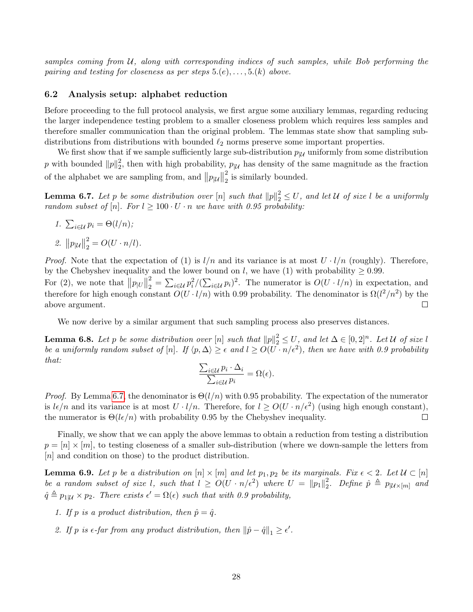samples coming from  $U$ , along with corresponding indices of such samples, while Bob performing the pairing and testing for closeness as per steps  $5.(e), \ldots, 5.(k)$  above.

## <span id="page-28-0"></span>6.2 Analysis setup: alphabet reduction

Before proceeding to the full protocol analysis, we first argue some auxiliary lemmas, regarding reducing the larger independence testing problem to a smaller closeness problem which requires less samples and therefore smaller communication than the original problem. The lemmas state show that sampling subdistributions from distributions with bounded  $\ell_2$  norms preserve some important properties.

We first show that if we sample sufficiently large sub-distribution  $p_{|\mathcal{U}}$  uniformly from some distribution p with bounded  $||p||_2^2$  $2<sub>2</sub>$ , then with high probability,  $p_{\mid \mathcal{U}}$  has density of the same magnitude as the fraction of the alphabet we are sampling from, and  $||p_{|\mathcal{U}}||$ 2  $\frac{2}{2}$  is similarly bounded.

<span id="page-28-1"></span>**Lemma 6.7.** Let p be some distribution over  $[n]$  such that  $||p||_2^2 \le U$ , and let U of size l be a uniformly random subset of [n]. For  $l \geq 100 \cdot U \cdot n$  we have with 0.95 probability:

1. 
$$
\sum_{i \in \mathcal{U}} p_i = \Theta(l/n);
$$

2.  $||p_{|\mathcal{U}}||$ 2  $\frac{2}{2} = O(U \cdot n/l).$ 

*Proof.* Note that the expectation of (1) is  $l/n$  and its variance is at most  $U \cdot l/n$  (roughly). Therefore, by the Chebyshev inequality and the lower bound on l, we have (1) with probability  $\geq 0.99$ . 2 For (2), we note that  $||p_{|U}||$  $\sum_{i=2}^{2} = \sum_{i\in\mathcal{U}} p_i^2 / (\sum_{i\in\mathcal{U}} p_i)^2$ . The numerator is  $O(U \cdot l/n)$  in expectation, and therefore for high enough constant  $O(U \cdot l/n)$  with 0.99 probability. The denominator is  $\Omega(l^2/n^2)$  by the above argument.  $\Box$ 

We now derive by a similar argument that such sampling process also preserves distances.

<span id="page-28-2"></span>**Lemma 6.8.** Let p be some distribution over  $[n]$  such that  $||p||_2^2 \le U$ , and let  $\Delta \in [0,2]^n$ . Let U of size l be a uniformly random subset of [n]. If  $\langle p, \Delta \rangle \ge \epsilon$  and  $l \ge O(U \cdot n/\epsilon^2)$ , then we have with 0.9 probability that:

$$
\frac{\sum_{i\in\mathcal{U}}p_i\cdot\Delta_i}{\sum_{i\in\mathcal{U}}p_i}=\Omega(\epsilon).
$$

*Proof.* By Lemma [6.7,](#page-28-1) the denominator is  $\Theta(l/n)$  with 0.95 probability. The expectation of the numerator is  $l\epsilon/n$  and its variance is at most  $U \cdot l/n$ . Therefore, for  $l \ge O(U \cdot n/\epsilon^2)$  (using high enough constant), the numerator is  $\Theta(l\epsilon/n)$  with probability 0.95 by the Chebyshev inequality.  $\Box$ 

Finally, we show that we can apply the above lemmas to obtain a reduction from testing a distribution  $p = [n] \times [m]$ , to testing closeness of a smaller sub-distribution (where we down-sample the letters from [n] and condition on those) to the product distribution.

<span id="page-28-3"></span>**Lemma 6.9.** Let p be a distribution on  $[n] \times [m]$  and let  $p_1, p_2$  be its marginals. Fix  $\epsilon < 2$ . Let  $\mathcal{U} \subset [n]$ be a random subset of size l, such that  $l \ge O(U \cdot n/\epsilon^2)$  where  $U = ||p_1||_2^2$ <sup>2</sup><sub>2</sub>. Define  $\hat{p} \triangleq p_{|\mathcal{U} \times [m]}$  and  $\hat{q} \triangleq p_{1|\mathcal{U}} \times p_2$ . There exists  $\epsilon' = \Omega(\epsilon)$  such that with 0.9 probability,

- 1. If p is a product distribution, then  $\hat{p} = \hat{q}$ .
- 2. If p is  $\epsilon$ -far from any product distribution, then  $\|\hat{p} \hat{q}\|_1 \geq \epsilon'$ .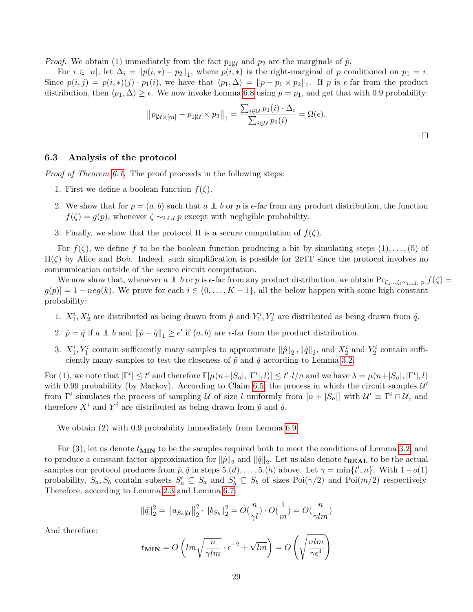*Proof.* We obtain (1) immediately from the fact  $p_{1|\mathcal{U}}$  and  $p_2$  are the marginals of  $\hat{p}$ .

For  $i \in [n]$ , let  $\Delta_i = ||p(i, *) - p_2||_1$ , where  $p(i, *)$  is the right-marginal of p conditioned on  $p_1 = i$ . Since  $p(i, j) = p(i, *)$   $(p_1, i)$ , we have that  $\langle p_1, \Delta \rangle = ||p - p_1 \times p_2||_1$ . If p is  $\epsilon$ -far from the product distribution, then  $\langle p_1, \Delta \rangle \geq \epsilon$ . We now invoke Lemma [6.8](#page-28-2) using  $p = p_1$ , and get that with 0.9 probability:

$$
||p_{[\mathcal{U}\times[m]}-p_{1|\mathcal{U}}\times p_2||_1=\frac{\sum_{i\in\mathcal{U}}p_1(i)\cdot\Delta_i}{\sum_{i\in\mathcal{U}}p_1(i)}=\Omega(\epsilon).
$$

 $\Box$ 

## 6.3 Analysis of the protocol

Proof of Theorem [6.1.](#page-24-0) The proof proceeds in the following steps:

- 1. First we define a boolean function  $f(\zeta)$ .
- 2. We show that for  $p = (a, b)$  such that  $a \perp b$  or p is  $\epsilon$ -far from any product distribution, the function  $f(\zeta) = g(p)$ , whenever  $\zeta \sim_{i.i.d} p$  except with negligible probability.
- 3. Finally, we show that the protocol  $\Pi$  is a secure computation of  $f(\zeta)$ .

For  $f(\zeta)$ , we define f to be the boolean function producing a bit by simulating steps  $(1), \ldots, (5)$  of Π(ζ) by Alice and Bob. Indeed, such simplification is possible for 2pIT since the protocol involves no communication outside of the secure circuit computation.

We now show that, whenever  $a \perp b$  or p is  $\epsilon$ -far from any product distribution, we obtain  $Pr_{\zeta_1...\zeta_t\sim_{i,i,d}} p[f(\zeta) =$  $g(p)$ ] = 1 – neg(k). We prove for each  $i \in \{0, ..., K-1\}$ , all the below happen with some high constant probability:

- 1.  $X_1^i, X_2^i$  are distributed as being drawn from  $\hat{p}$  and  $Y_1^i, Y_2^i$  are distributed as being drawn from  $\hat{q}$ .
- 2.  $\hat{p} = \hat{q}$  if  $a \perp b$  and  $\|\hat{p} \hat{q}\|_1 \ge \epsilon'$  if  $(a, b)$  are  $\epsilon$ -far from the product distribution.
- 3.  $X_1^i, Y_1^i$  contain sufficiently many samples to approximate  $\|\hat{p}\|_2$ ,  $\|\hat{q}\|_2$ , and  $X_2^i$  and  $Y_2^i$  contain sufficiently many samples to test the closeness of  $\hat{p}$  and  $\hat{q}$  according to Lemma [3.2.](#page-9-0)

For (1), we note that  $|\Gamma^i| \le t'$  and therefore  $\mathbb{E}[\mu(n+|S_a|,|\Gamma^i|,l)] \le t' \cdot l/n$  and we have  $\lambda = \mu(n+|S_a|,|\Gamma^i|,l)$ with 0.99 probability (by Markov). According to Claim [6.5,](#page-26-0) the process in which the circuit samples  $\mathcal{U}'$ from  $\Gamma^i$  simulates the process of sampling U of size l uniformly from  $[n+|S_a|]$  with  $\mathcal{U}' \equiv \Gamma^i \cap \mathcal{U}$ , and therefore  $X^i$  and  $Y^i$  are distributed as being drawn from  $\hat{p}$  and  $\hat{q}$ .

We obtain  $(2)$  with 0.9 probability immediately from Lemma [6.9.](#page-28-3)

For (3), let us denote  $t_{\text{MIN}}$  to be the samples required both to meet the conditions of Lemma [3.2,](#page-9-0) and to produce a constant factor approximation for  $\|\hat{p}\|_2$  and  $\|\hat{q}\|_2$ . Let us also denote  $t_{\bf REAL}$  to be the actual samples our protocol produces from  $\hat{p}, \hat{q}$  in steps  $5.(d), \ldots, 5.(h)$  above. Let  $\gamma = \min\{t', n\}$ . With  $1-o(1)$ probability,  $S_a$ ,  $S_b$  contain subsets  $S'_a \subseteq S_a$  and  $S'_b \subseteq S_b$  of sizes  $Poi(\gamma/2)$  and  $Poi(m/2)$  respectively. Therefore, according to Lemma [2.3](#page-8-1) and Lemma [6.7:](#page-28-1)

$$
\|\hat{q}\|_2^2 = \left\|a_{S_a|\mathcal{U}}\right\|_2^2 \cdot \|b_{S_b}\|_2^2 = O(\frac{n}{\gamma l}) \cdot O(\frac{1}{m}) = O(\frac{n}{\gamma lm})
$$

And therefore:

$$
t_{\text{MIN}} = O\left(l m \sqrt{\frac{n}{\gamma l m}} \cdot \epsilon^{-2} + \sqrt{l m}\right) = O\left(\sqrt{\frac{n l m}{\gamma \epsilon^4}}\right)
$$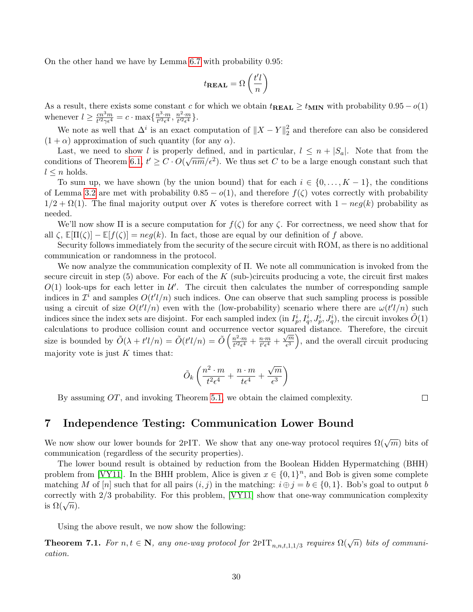On the other hand we have by Lemma [6.7](#page-28-1) with probability 0.95:

$$
t_{\textbf{REAL}} = \Omega\left(\frac{t'l}{n}\right)
$$

As a result, there exists some constant c for which we obtain  $t_{\text{REAL}} \ge t_{\text{MIN}}$  with probability  $0.95 - o(1)$ whenever  $l \geq \frac{cn^3m}{l^2\alpha\epsilon^4}$  $\frac{cn^3m}{t'^2\gamma\epsilon^4}=c\cdot\max\{\frac{n^3\cdot m}{t'^3\epsilon^4}$  $\frac{n^3 \cdot m}{t'^3 \epsilon^4}, \frac{n^2 \cdot m}{t'^2 \epsilon^4}$  $\frac{n^2 \cdot m}{t'^2 \epsilon^4}$ .

We note as well that  $\Delta^i$  is an exact computation of  $||X - Y||_2^2$  $\frac{2}{2}$  and therefore can also be considered  $(1 + \alpha)$  approximation of such quantity (for any  $\alpha$ ).

Last, we need to show l is properly defined, and in particular,  $l \leq n + |S_a|$ . Note that from the conditions of Theorem [6.1,](#page-24-0)  $t' \geq C \cdot O(\sqrt{nm}/\epsilon^2)$ . We thus set C to be a large enough constant such that  $l \leq n$  holds.

To sum up, we have shown (by the union bound) that for each  $i \in \{0, \ldots, K-1\}$ , the conditions of Lemma [3.2](#page-9-0) are met with probability  $0.85 - o(1)$ , and therefore  $f(\zeta)$  votes correctly with probability  $1/2 + \Omega(1)$ . The final majority output over K votes is therefore correct with  $1 - neg(k)$  probability as needed.

We'll now show  $\Pi$  is a secure computation for  $f(\zeta)$  for any  $\zeta$ . For correctness, we need show that for all  $\zeta$ ,  $\mathbb{E}[\Pi(\zeta)] - \mathbb{E}[f(\zeta)] = neg(k)$ . In fact, those are equal by our definition of f above.

Security follows immediately from the security of the secure circuit with ROM, as there is no additional communication or randomness in the protocol.

We now analyze the communication complexity of Π. We note all communication is invoked from the secure circuit in step  $(5)$  above. For each of the K (sub-)circuits producing a vote, the circuit first makes  $O(1)$  look-ups for each letter in  $\mathcal{U}'$ . The circuit then calculates the number of corresponding sample indices in  $\mathcal{I}^i$  and samples  $O(t'l/n)$  such indices. One can observe that such sampling process is possible using a circuit of size  $O(t'l/n)$  even with the (low-probability) scenario where there are  $\omega(t'l/n)$  such indices since the index sets are disjoint. For each sampled index (in  $I_p^i, I_q^i, J_p^i, J_q^i$ ), the circuit invokes  $\tilde{O}(1)$ calculations to produce collision count and occurrence vector squared distance. Therefore, the circuit size is bounded by  $\tilde{O}(\lambda + t'l/n) = \tilde{O}(t'l/n) = \tilde{O}(\frac{n^2 \cdot m}{t'^2 \epsilon^4})$  $\frac{n^2 \cdot m}{t^{\prime 2} \epsilon^4} + \frac{n \cdot m}{t^{\prime} \epsilon^4}$  $\frac{n \cdot m}{t' \epsilon^4} + \frac{\sqrt{m}}{\epsilon^3}$  $\left(\frac{\sqrt{m}}{\epsilon^3}\right)$ , and the overall circuit producing majority vote is just  $K$  times that:

$$
\tilde{O}_k\left(\frac{n^2\cdot m}{t^2\epsilon^4} + \frac{n\cdot m}{t\epsilon^4} + \frac{\sqrt{m}}{\epsilon^3}\right)
$$

By assuming OT, and invoking Theorem [5.1,](#page-16-1) we obtain the claimed complexity.

# <span id="page-30-1"></span>7 Independence Testing: Communication Lower Bound

We now show our lower bounds for 2PIT. We show that any one-way protocol requires  $\Omega(\sqrt{m})$  bits of communication (regardless of the security properties).

The lower bound result is obtained by reduction from the Boolean Hidden Hypermatching (BHH) problem from [\[VY11\]](#page-36-11). In the BHH problem, Alice is given  $x \in \{0,1\}^n$ , and Bob is given some complete matching M of [n] such that for all pairs  $(i, j)$  in the matching:  $i \oplus j = b \in \{0, 1\}$ . Bob's goal to output b correctly with 2/3 probability. For this problem, [\[VY11\]](#page-36-11) show that one-way communication complexity correctly<br>is  $\Omega(\sqrt{n})$ .

Using the above result, we now show the following:

<span id="page-30-0"></span>**Theorem 7.1.** For  $n, t \in \mathbb{N}$ , any one-way protocol for  $2PIT_{n,n,t,1,1/3}$  requires  $\Omega(\sqrt{n})$  bits of communication.

 $\Box$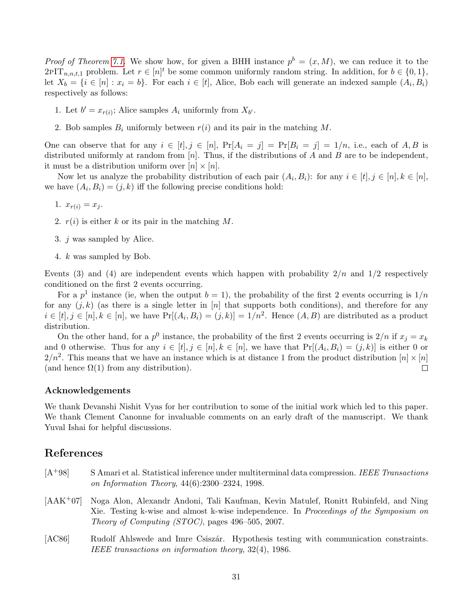*Proof of Theorem [7.1.](#page-30-0)* We show how, for given a BHH instance  $p^b = (x, M)$ , we can reduce it to the  $2PIT_{n,n,t,1}$  problem. Let  $r \in [n]^t$  be some common uniformly random string. In addition, for  $b \in \{0,1\}$ , let  $X_b = \{i \in [n] : x_i = b\}$ . For each  $i \in [t]$ , Alice, Bob each will generate an indexed sample  $(A_i, B_i)$ respectively as follows:

- 1. Let  $b' = x_{r(i)}$ ; Alice samples  $A_i$  uniformly from  $X_{b'}$ .
- 2. Bob samples  $B_i$  uniformly between  $r(i)$  and its pair in the matching M.

One can observe that for any  $i \in [t], j \in [n], \Pr[A_i = j] = \Pr[B_i = j] = 1/n, \text{ i.e., each of } A, B \text{ is }$ distributed uniformly at random from  $[n]$ . Thus, if the distributions of A and B are to be independent, it must be a distribution uniform over  $[n] \times [n]$ .

Now let us analyze the probability distribution of each pair  $(A_i, B_i)$ : for any  $i \in [t], j \in [n], k \in [n]$ , we have  $(A_i, B_i) = (j, k)$  iff the following precise conditions hold:

- 1.  $x_{r(i)} = x_i$ .
- 2.  $r(i)$  is either k or its pair in the matching M.
- 3. j was sampled by Alice.
- 4. k was sampled by Bob.

Events (3) and (4) are independent events which happen with probability  $2/n$  and  $1/2$  respectively conditioned on the first 2 events occurring.

For a  $p<sup>1</sup>$  instance (ie, when the output  $b = 1$ ), the probability of the first 2 events occurring is  $1/n$ for any  $(j, k)$  (as there is a single letter in [n] that supports both conditions), and therefore for any  $i \in [t], j \in [n], k \in [n]$ , we have  $Pr[(A_i, B_i) = (j, k)] = 1/n^2$ . Hence  $(A, B)$  are distributed as a product distribution.

On the other hand, for a  $p^0$  instance, the probability of the first 2 events occurring is  $2/n$  if  $x_j = x_k$ and 0 otherwise. Thus for any  $i \in [t], j \in [n], k \in [n]$ , we have that  $Pr[(A_i, B_i) = (j, k)]$  is either 0 or  $2/n^2$ . This means that we have an instance which is at distance 1 from the product distribution  $[n] \times [n]$ (and hence  $\Omega(1)$  from any distribution).  $\Box$ 

#### Acknowledgements

We thank Devanshi Nishit Vyas for her contribution to some of the initial work which led to this paper. We thank Clement Canonne for invaluable comments on an early draft of the manuscript. We thank Yuval Ishai for helpful discussions.

## References

- <span id="page-31-1"></span> $[A<sup>+</sup>98]$  S Amari et al. Statistical inference under multiterminal data compression. IEEE Transactions on Information Theory, 44(6):2300–2324, 1998.
- <span id="page-31-2"></span>[AAK+07] Noga Alon, Alexandr Andoni, Tali Kaufman, Kevin Matulef, Ronitt Rubinfeld, and Ning Xie. Testing k-wise and almost k-wise independence. In Proceedings of the Symposium on Theory of Computing (STOC), pages 496–505, 2007.
- <span id="page-31-0"></span>[AC86] Rudolf Ahlswede and Imre Csiszár. Hypothesis testing with communication constraints. IEEE transactions on information theory, 32(4), 1986.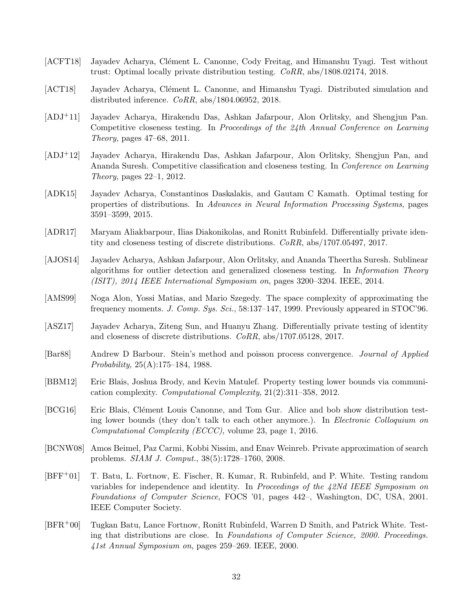- <span id="page-32-13"></span>[ACFT18] Jayadev Acharya, Clément L. Canonne, Cody Freitag, and Himanshu Tyagi. Test without trust: Optimal locally private distribution testing. CoRR, abs/1808.02174, 2018.
- <span id="page-32-11"></span>[ACT18] Jayadev Acharya, Clément L. Canonne, and Himanshu Tyagi. Distributed simulation and distributed inference.  $CoRR$ , abs/1804.06952, 2018.
- <span id="page-32-2"></span>[ADJ+11] Jayadev Acharya, Hirakendu Das, Ashkan Jafarpour, Alon Orlitsky, and Shengjun Pan. Competitive closeness testing. In Proceedings of the 24th Annual Conference on Learning Theory, pages 47–68, 2011.
- <span id="page-32-3"></span>[ADJ+12] Jayadev Acharya, Hirakendu Das, Ashkan Jafarpour, Alon Orlitsky, Shengjun Pan, and Ananda Suresh. Competitive classification and closeness testing. In Conference on Learning Theory, pages 22–1, 2012.
- <span id="page-32-8"></span>[ADK15] Jayadev Acharya, Constantinos Daskalakis, and Gautam C Kamath. Optimal testing for properties of distributions. In Advances in Neural Information Processing Systems, pages 3591–3599, 2015.
- <span id="page-32-5"></span>[ADR17] Maryam Aliakbarpour, Ilias Diakonikolas, and Ronitt Rubinfeld. Differentially private identity and closeness testing of discrete distributions. CoRR, abs/1707.05497, 2017.
- <span id="page-32-1"></span>[AJOS14] Jayadev Acharya, Ashkan Jafarpour, Alon Orlitsky, and Ananda Theertha Suresh. Sublinear algorithms for outlier detection and generalized closeness testing. In Information Theory (ISIT), 2014 IEEE International Symposium on, pages 3200–3204. IEEE, 2014.
- <span id="page-32-6"></span>[AMS99] Noga Alon, Yossi Matias, and Mario Szegedy. The space complexity of approximating the frequency moments. J. Comp. Sys. Sci., 58:137–147, 1999. Previously appeared in STOC'96.
- <span id="page-32-4"></span>[ASZ17] Jayadev Acharya, Ziteng Sun, and Huanyu Zhang. Differentially private testing of identity and closeness of discrete distributions. CoRR, abs/1707.05128, 2017.
- <span id="page-32-14"></span>[Bar88] Andrew D Barbour. Stein's method and poisson process convergence. Journal of Applied Probability, 25(A):175–184, 1988.
- <span id="page-32-9"></span>[BBM12] Eric Blais, Joshua Brody, and Kevin Matulef. Property testing lower bounds via communication complexity. Computational Complexity, 21(2):311–358, 2012.
- <span id="page-32-10"></span>[BCG16] Eric Blais, Clément Louis Canonne, and Tom Gur. Alice and bob show distribution testing lower bounds (they don't talk to each other anymore.). In Electronic Colloquium on Computational Complexity (ECCC), volume 23, page 1, 2016.
- <span id="page-32-12"></span>[BCNW08] Amos Beimel, Paz Carmi, Kobbi Nissim, and Enav Weinreb. Private approximation of search problems. SIAM J. Comput., 38(5):1728–1760, 2008.
- <span id="page-32-7"></span>[BFF+01] T. Batu, L. Fortnow, E. Fischer, R. Kumar, R. Rubinfeld, and P. White. Testing random variables for independence and identity. In Proceedings of the 42Nd IEEE Symposium on Foundations of Computer Science, FOCS '01, pages 442–, Washington, DC, USA, 2001. IEEE Computer Society.
- <span id="page-32-0"></span>[BFR+00] Tugkan Batu, Lance Fortnow, Ronitt Rubinfeld, Warren D Smith, and Patrick White. Testing that distributions are close. In Foundations of Computer Science, 2000. Proceedings. 41st Annual Symposium on, pages 259–269. IEEE, 2000.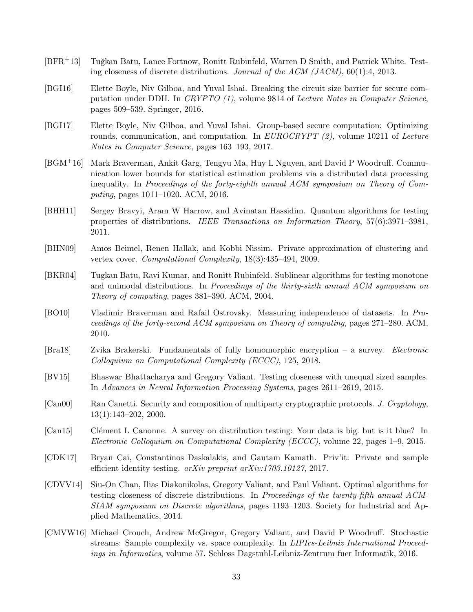- <span id="page-33-0"></span>[BFR<sup>+</sup>13] Tuğkan Batu, Lance Fortnow, Ronitt Rubinfeld, Warren D Smith, and Patrick White. Testing closeness of discrete distributions. Journal of the ACM (JACM), 60(1):4, 2013.
- <span id="page-33-11"></span>[BGI16] Elette Boyle, Niv Gilboa, and Yuval Ishai. Breaking the circuit size barrier for secure computation under DDH. In CRYPTO (1), volume 9814 of Lecture Notes in Computer Science, pages 509–539. Springer, 2016.
- <span id="page-33-12"></span>[BGI17] Elette Boyle, Niv Gilboa, and Yuval Ishai. Group-based secure computation: Optimizing rounds, communication, and computation. In  $EUROCRYPT (2)$ , volume 10211 of Lecture Notes in Computer Science, pages 163–193, 2017.
- <span id="page-33-9"></span>[BGM+16] Mark Braverman, Ankit Garg, Tengyu Ma, Huy L Nguyen, and David P Woodruff. Communication lower bounds for statistical estimation problems via a distributed data processing inequality. In Proceedings of the forty-eighth annual ACM symposium on Theory of Computing, pages 1011–1020. ACM, 2016.
- <span id="page-33-3"></span>[BHH11] Sergey Bravyi, Aram W Harrow, and Avinatan Hassidim. Quantum algorithms for testing properties of distributions. IEEE Transactions on Information Theory, 57(6):3971–3981, 2011.
- <span id="page-33-10"></span>[BHN09] Amos Beimel, Renen Hallak, and Kobbi Nissim. Private approximation of clustering and vertex cover. Computational Complexity, 18(3):435–494, 2009.
- <span id="page-33-6"></span>[BKR04] Tugkan Batu, Ravi Kumar, and Ronitt Rubinfeld. Sublinear algorithms for testing monotone and unimodal distributions. In Proceedings of the thirty-sixth annual ACM symposium on Theory of computing, pages 381–390. ACM, 2004.
- <span id="page-33-8"></span>[BO10] Vladimir Braverman and Rafail Ostrovsky. Measuring independence of datasets. In Proceedings of the forty-second ACM symposium on Theory of computing, pages 271–280. ACM, 2010.
- <span id="page-33-14"></span>[Bra18] Zvika Brakerski. Fundamentals of fully homomorphic encryption – a survey. Electronic Colloquium on Computational Complexity (ECCC), 125, 2018.
- <span id="page-33-2"></span>[BV15] Bhaswar Bhattacharya and Gregory Valiant. Testing closeness with unequal sized samples. In Advances in Neural Information Processing Systems, pages 2611–2619, 2015.
- <span id="page-33-13"></span>[Can00] Ran Canetti. Security and composition of multiparty cryptographic protocols. J. Cryptology, 13(1):143–202, 2000.
- <span id="page-33-5"></span>[Can15] Clément L Canonne. A survey on distribution testing: Your data is big. but is it blue? In Electronic Colloquium on Computational Complexity (ECCC), volume 22, pages 1–9, 2015.
- <span id="page-33-4"></span>[CDK17] Bryan Cai, Constantinos Daskalakis, and Gautam Kamath. Priv'it: Private and sample efficient identity testing. arXiv preprint arXiv:1703.10127, 2017.
- <span id="page-33-1"></span>[CDVV14] Siu-On Chan, Ilias Diakonikolas, Gregory Valiant, and Paul Valiant. Optimal algorithms for testing closeness of discrete distributions. In Proceedings of the twenty-fifth annual ACM-SIAM symposium on Discrete algorithms, pages 1193–1203. Society for Industrial and Applied Mathematics, 2014.
- <span id="page-33-7"></span>[CMVW16] Michael Crouch, Andrew McGregor, Gregory Valiant, and David P Woodruff. Stochastic streams: Sample complexity vs. space complexity. In LIPIcs-Leibniz International Proceedings in Informatics, volume 57. Schloss Dagstuhl-Leibniz-Zentrum fuer Informatik, 2016.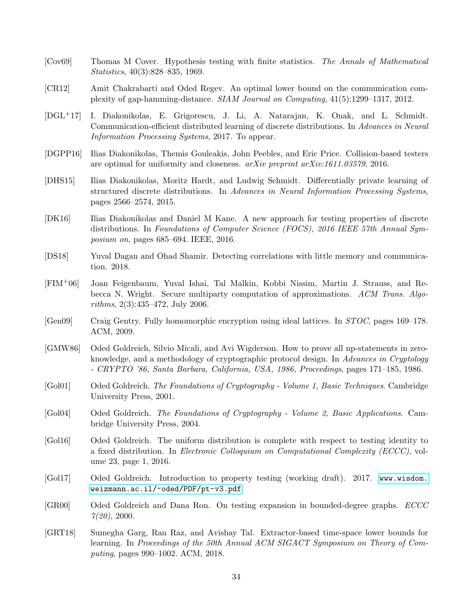- <span id="page-34-5"></span>[Cov69] Thomas M Cover. Hypothesis testing with finite statistics. The Annals of Mathematical Statistics, 40(3):828–835, 1969.
- <span id="page-34-11"></span>[CR12] Amit Chakrabarti and Oded Regev. An optimal lower bound on the communication complexity of gap-hamming-distance. SIAM Journal on Computing, 41(5):1299–1317, 2012.
- <span id="page-34-8"></span>[DGL+17] I. Diakonikolas, E. Grigorescu, J. Li, A. Natarajan, K. Onak, and L. Schmidt. Communication-efficient distributed learning of discrete distributions. In Advances in Neural Information Processing Systems, 2017. To appear.
- <span id="page-34-2"></span>[DGPP16] Ilias Diakonikolas, Themis Gouleakis, John Peebles, and Eric Price. Collision-based testers are optimal for uniformity and closeness. arXiv preprint arXiv:1611.03579, 2016.
- <span id="page-34-3"></span>[DHS15] Ilias Diakonikolas, Moritz Hardt, and Ludwig Schmidt. Differentially private learning of structured discrete distributions. In Advances in Neural Information Processing Systems, pages 2566–2574, 2015.
- <span id="page-34-1"></span>[DK16] Ilias Diakonikolas and Daniel M Kane. A new approach for testing properties of discrete distributions. In Foundations of Computer Science (FOCS), 2016 IEEE 57th Annual Symposium on, pages 685–694. IEEE, 2016.
- <span id="page-34-9"></span>[DS18] Yuval Dagan and Ohad Shamir. Detecting correlations with little memory and communication. 2018.
- <span id="page-34-10"></span>[FIM+06] Joan Feigenbaum, Yuval Ishai, Tal Malkin, Kobbi Nissim, Martin J. Strauss, and Rebecca N. Wright. Secure multiparty computation of approximations. ACM Trans. Algorithms, 2(3):435–472, July 2006.
- <span id="page-34-12"></span>[Gen09] Craig Gentry. Fully homomorphic encryption using ideal lattices. In STOC, pages 169–178. ACM, 2009.
- <span id="page-34-15"></span>[GMW86] Oded Goldreich, Silvio Micali, and Avi Wigderson. How to prove all np-statements in zeroknowledge, and a methodology of cryptographic protocol design. In Advances in Cryptology - CRYPTO '86, Santa Barbara, California, USA, 1986, Proceedings, pages 171–185, 1986.
- <span id="page-34-13"></span>[Gol01] Oded Goldreich. The Foundations of Cryptography - Volume 1, Basic Techniques. Cambridge University Press, 2001.
- <span id="page-34-14"></span>[Gol04] Oded Goldreich. The Foundations of Cryptography - Volume 2, Basic Applications. Cambridge University Press, 2004.
- <span id="page-34-6"></span>[Gol16] Oded Goldreich. The uniform distribution is complete with respect to testing identity to a fixed distribution. In Electronic Colloquium on Computational Complexity (ECCC), volume 23, page 1, 2016.
- <span id="page-34-4"></span>[Gol17] Oded Goldreich. Introduction to property testing (working draft). 2017. [www.wisdom.](www. wisdom. weizmann. ac. il/~oded/PDF/pt-v3.pdf) [weizmann.ac.il/~oded/PDF/pt-v3.pdf](www. wisdom. weizmann. ac. il/~oded/PDF/pt-v3.pdf).
- <span id="page-34-0"></span>[GR00] Oded Goldreich and Dana Ron. On testing expansion in bounded-degree graphs. ECCC  $7(20), 2000.$
- <span id="page-34-7"></span>[GRT18] Sumegha Garg, Ran Raz, and Avishay Tal. Extractor-based time-space lower bounds for learning. In Proceedings of the 50th Annual ACM SIGACT Symposium on Theory of Computing, pages 990–1002. ACM, 2018.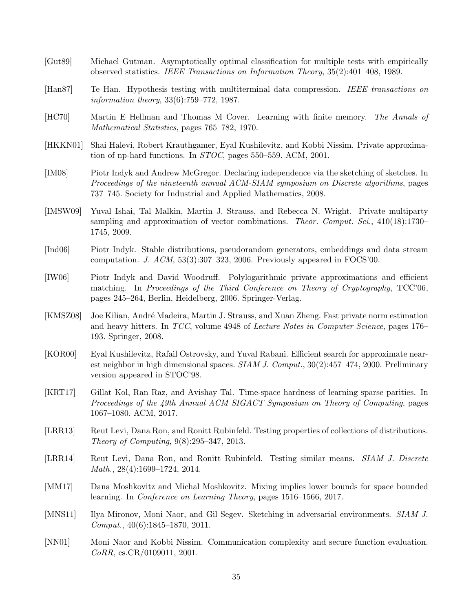- <span id="page-35-0"></span>[Gut89] Michael Gutman. Asymptotically optimal classification for multiple tests with empirically observed statistics. IEEE Transactions on Information Theory, 35(2):401–408, 1989.
- <span id="page-35-2"></span>[Han87] Te Han. Hypothesis testing with multiterminal data compression. IEEE transactions on information theory, 33(6):759–772, 1987.
- <span id="page-35-1"></span>[HC70] Martin E Hellman and Thomas M Cover. Learning with finite memory. The Annals of Mathematical Statistics, pages 765–782, 1970.
- <span id="page-35-9"></span>[HKKN01] Shai Halevi, Robert Krauthgamer, Eyal Kushilevitz, and Kobbi Nissim. Private approximation of np-hard functions. In STOC, pages 550–559. ACM, 2001.
- <span id="page-35-6"></span>[IM08] Piotr Indyk and Andrew McGregor. Declaring independence via the sketching of sketches. In Proceedings of the nineteenth annual ACM-SIAM symposium on Discrete algorithms, pages 737–745. Society for Industrial and Applied Mathematics, 2008.
- <span id="page-35-11"></span>[IMSW09] Yuval Ishai, Tal Malkin, Martin J. Strauss, and Rebecca N. Wright. Private multiparty sampling and approximation of vector combinations. Theor. Comput. Sci.,  $410(18):1730-$ 1745, 2009.
- <span id="page-35-3"></span>[Ind06] Piotr Indyk. Stable distributions, pseudorandom generators, embeddings and data stream computation. J. ACM, 53(3):307–323, 2006. Previously appeared in FOCS'00.
- <span id="page-35-10"></span>[IW06] Piotr Indyk and David Woodruff. Polylogarithmic private approximations and efficient matching. In Proceedings of the Third Conference on Theory of Cryptography, TCC'06, pages 245–264, Berlin, Heidelberg, 2006. Springer-Verlag.
- <span id="page-35-12"></span>[KMSZ08] Joe Kilian, André Madeira, Martin J. Strauss, and Xuan Zheng. Fast private norm estimation and heavy hitters. In TCC, volume 4948 of Lecture Notes in Computer Science, pages 176– 193. Springer, 2008.
- <span id="page-35-15"></span>[KOR00] Eyal Kushilevitz, Rafail Ostrovsky, and Yuval Rabani. Efficient search for approximate nearest neighbor in high dimensional spaces. SIAM J. Comput., 30(2):457–474, 2000. Preliminary version appeared in STOC'98.
- <span id="page-35-7"></span>[KRT17] Gillat Kol, Ran Raz, and Avishay Tal. Time-space hardness of learning sparse parities. In Proceedings of the 49th Annual ACM SIGACT Symposium on Theory of Computing, pages 1067–1080. ACM, 2017.
- <span id="page-35-4"></span>[LRR13] Reut Levi, Dana Ron, and Ronitt Rubinfeld. Testing properties of collections of distributions. Theory of Computing, 9(8):295–347, 2013.
- <span id="page-35-5"></span>[LRR14] Reut Levi, Dana Ron, and Ronitt Rubinfeld. Testing similar means. SIAM J. Discrete Math., 28(4):1699–1724, 2014.
- <span id="page-35-8"></span>[MM17] Dana Moshkovitz and Michal Moshkovitz. Mixing implies lower bounds for space bounded learning. In Conference on Learning Theory, pages 1516–1566, 2017.
- <span id="page-35-13"></span>[MNS11] Ilya Mironov, Moni Naor, and Gil Segev. Sketching in adversarial environments. SIAM J. Comput., 40(6):1845–1870, 2011.
- <span id="page-35-14"></span>[NN01] Moni Naor and Kobbi Nissim. Communication complexity and secure function evaluation. CoRR, cs.CR/0109011, 2001.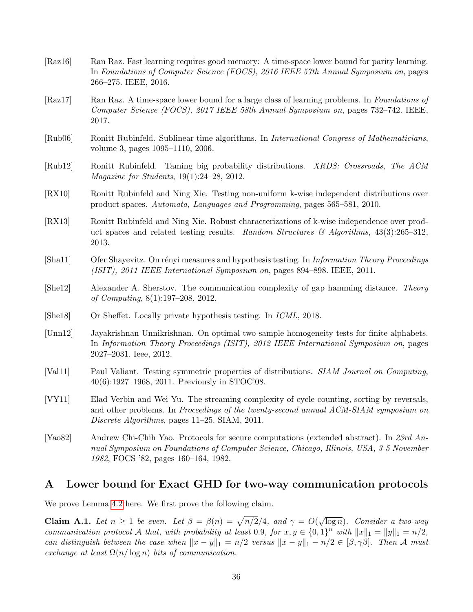- <span id="page-36-7"></span>[Raz16] Ran Raz. Fast learning requires good memory: A time-space lower bound for parity learning. In Foundations of Computer Science (FOCS), 2016 IEEE 57th Annual Symposium on, pages 266–275. IEEE, 2016.
- <span id="page-36-8"></span>[Raz17] Ran Raz. A time-space lower bound for a large class of learning problems. In Foundations of Computer Science (FOCS), 2017 IEEE 58th Annual Symposium on, pages 732–742. IEEE, 2017.
- <span id="page-36-4"></span>[Rub06] Ronitt Rubinfeld. Sublinear time algorithms. In International Congress of Mathematicians, volume 3, pages 1095–1110, 2006.
- <span id="page-36-3"></span>[Rub12] Ronitt Rubinfeld. Taming big probability distributions. XRDS: Crossroads, The ACM Magazine for Students, 19(1):24–28, 2012.
- <span id="page-36-5"></span>[RX10] Ronitt Rubinfeld and Ning Xie. Testing non-uniform k-wise independent distributions over product spaces. Automata, Languages and Programming, pages 565–581, 2010.
- <span id="page-36-6"></span>[RX13] Ronitt Rubinfeld and Ning Xie. Robust characterizations of k-wise independence over product spaces and related testing results. Random Structures & Algorithms,  $43(3):265-312$ , 2013.
- <span id="page-36-0"></span>[Sha11] Ofer Shayevitz. On rényi measures and hypothesis testing. In *Information Theory Proceedings* (ISIT), 2011 IEEE International Symposium on, pages 894–898. IEEE, 2011.
- <span id="page-36-10"></span>[She12] Alexander A. Sherstov. The communication complexity of gap hamming distance. Theory of Computing, 8(1):197–208, 2012.
- <span id="page-36-9"></span>[She18] Or Sheffet. Locally private hypothesis testing. In ICML, 2018.
- <span id="page-36-1"></span>[Unn12] Jayakrishnan Unnikrishnan. On optimal two sample homogeneity tests for finite alphabets. In Information Theory Proceedings (ISIT), 2012 IEEE International Symposium on, pages 2027–2031. Ieee, 2012.
- <span id="page-36-2"></span>[Val11] Paul Valiant. Testing symmetric properties of distributions. SIAM Journal on Computing, 40(6):1927–1968, 2011. Previously in STOC'08.
- <span id="page-36-11"></span>[VY11] Elad Verbin and Wei Yu. The streaming complexity of cycle counting, sorting by reversals, and other problems. In Proceedings of the twenty-second annual ACM-SIAM symposium on Discrete Algorithms, pages 11–25. SIAM, 2011.
- <span id="page-36-12"></span>[Yao82] Andrew Chi-Chih Yao. Protocols for secure computations (extended abstract). In 23rd Annual Symposium on Foundations of Computer Science, Chicago, Illinois, USA, 3-5 November 1982, FOCS '82, pages 160–164, 1982.

## <span id="page-36-13"></span>A Lower bound for Exact GHD for two-way communication protocols

We prove Lemma [4.2](#page-11-2) here. We first prove the following claim.

<span id="page-36-14"></span>**Claim A.1.** Let  $n \geq 1$  be even. Let  $\beta = \beta(n) = \sqrt{n/2}/4$ , and  $\gamma = O(n)$ √  $\overline{\log n}$ ). Consider a two-way communication protocol A that, with probability at least 0.9, for  $x, y \in \{0, 1\}^n$  with  $||x||_1 = ||y||_1 = n/2$ , can distinguish between the case when  $||x - y||_1 = n/2$  versus  $||x - y||_1 - n/2 \in [\beta, \gamma\beta]$ . Then A must exchange at least  $\Omega(n/\log n)$  bits of communication.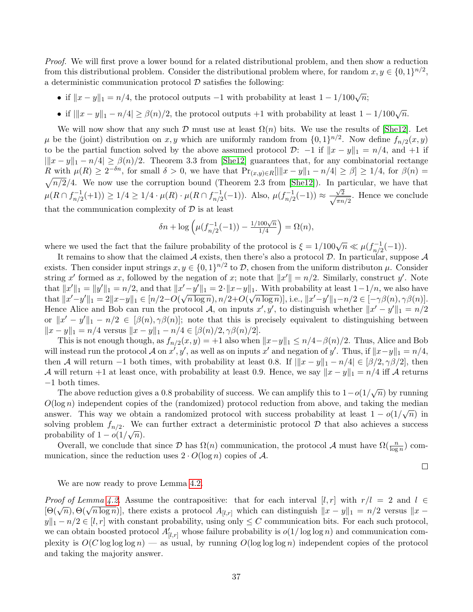Proof. We will first prove a lower bound for a related distributional problem, and then show a reduction from this distributional problem. Consider the distributional problem where, for random  $x, y \in \{0, 1\}^{n/2}$ , a deterministic communication protocol  $D$  satisfies the following:

- if  $||x y||_1 = n/4$ , the protocol outputs -1 with probability at least  $1 1/100\sqrt{n}$ ;
- if  $\|x y\|_1 n/4 \ge \beta(n)/2$ , the protocol outputs +1 with probability at least  $1 1/100\sqrt{n}$ .

We will now show that any such  $\mathcal D$  must use at least  $\Omega(n)$  bits. We use the results of [\[She12\]](#page-36-10). Let  $\mu$  be the (joint) distribution on x, y which are uniformly random from  $\{0,1\}^{n/2}$ . Now define  $f_{n/2}(x, y)$ to be the partial function solved by the above assumed protocol  $\mathcal{D}$ : −1 if  $||x - y||_1 = n/4$ , and +1 if  $\|x - y\|_1 - n/4 \ge \beta(n)/2$ . Theorem 3.3 from [\[She12\]](#page-36-10) guarantees that, for any combinatorial rectange R with  $\mu(R) \geq 2^{-\delta n}$ , for small  $\delta > 0$ , we have that  $Pr_{(x,y)\in R}[||x-y||_1 - n/4| \geq \beta] \geq 1/4$ , for  $\beta(n) =$  $\sqrt{n/2}/4$ . We now use the corruption bound (Theorem 2.3 from [\[She12\]](#page-36-10)). In particular, we have that  $\mu(R \cap f_{n/2}^{-1})$  $\frac{n-1}{n/2}(+1)) \geq 1/4 \geq 1/4 \cdot \mu(R) \cdot \mu(R \cap f_{n/2}^{-1})$  $\mu_{n/2}^{-1}(-1)$ ). Also,  $\mu(f_{n/2}^{-1})$  $\frac{\sqrt{-1}}{n/2}(-1)$   $\approx \frac{\sqrt{2}}{\sqrt{\pi n}}$  $\frac{\sqrt{2}}{\pi n/2}$ . Hence we conclude that the communication complexity of  $D$  is at least

$$
\delta n + \log \left( \mu(f_{n/2}^{-1}(-1)) - \frac{1/100\sqrt{n}}{1/4} \right) = \Omega(n),
$$

where we used the fact that the failure probability of the protocol is  $\xi = 1/100\sqrt{n} \ll \mu(f_n)^{-1/2}$  $\binom{n-1}{n/2}(-1)$ .

It remains to show that the claimed  $A$  exists, then there's also a protocol  $D$ . In particular, suppose  $A$ exists. Then consider input strings  $x, y \in \{0,1\}^{n/2}$  to  $\mathcal{D}$ , chosen from the uniform distributon  $\mu$ . Consider string x' formed as x, followed by the negation of x; note that  $||x'|| = n/2$ . Similarly, construct y'. Note that  $||x'||_1 = ||y'||_1 = n/2$ , and that  $||x'-y'||_1 = 2 \cdot ||x-y||_1$ . With probability at least  $1-1/n$ , we also have that  $||x'-y'||_1 = 2||x-y||_1 \in [n/2-O(\sqrt{n \log n}), n/2+O(\sqrt{n \log n})]$ , i.e.,  $||x'-y'||_1-n/2 \in [-\gamma\beta(n), \gamma\beta(n)]$ . Hence Alice and Bob can run the protocol A, on inputs  $x', y'$ , to distinguish whether  $||x' - y'||_1 = n/2$ or  $||x'-y'||_1 - n/2 \in [\beta(n), \gamma(\beta(n)];$  note that this is precisely equivalent to distinguishing between  $||x - y||_1 = n/4$  versus  $||x - y||_1 - n/4 \in [\beta(n)/2, \gamma(\beta(n)/2)].$ 

This is not enough though, as  $f_{n/2}(x, y) = +1$  also when  $||x-y||_1 \leq n/4 - \beta(n)/2$ . Thus, Alice and Bob will instead run the protocol A on  $x', y'$ , as well as on inputs  $x'$  and negation of y'. Thus, if  $||x-y||_1 = n/4$ , then A will return −1 both times, with probability at least 0.8. If  $||x - y||_1 - n/4 \in [\beta/2, \gamma\beta/2]$ , then A will return +1 at least once, with probability at least 0.9. Hence, we say  $||x - y||_1 = n/4$  iff A returns −1 both times.

The above reduction gives a 0.8 probability of success. We can amplify this to  $1-o(1/\sqrt{n})$  by running  $O(\log n)$  independent copies of the (randomized) protocol reduction from above, and taking the median answer. This way we obtain a randomized protocol with success probability at least  $1 - o(1/\sqrt{n})$  in solving problem  $f_{n/2}$ . We can further extract a deterministic protocol  $D$  that also achieves a success probability of  $1 - o(1/\sqrt{n}).$ 

Overall, we conclude that since  $\mathcal{D}$  has  $\Omega(n)$  communication, the protocol  $\mathcal{A}$  must have  $\Omega(\frac{n}{\log n})$  communication, since the reduction uses  $2 \cdot O(\log n)$  copies of A.

 $\Box$ 

We are now ready to prove Lemma [4.2.](#page-11-2)

*Proof of Lemma [4.2.](#page-11-2)* Assume the contrapositive: that for each interval [l, r] with  $r/l = 2$  and  $l \in$ Froot of Lemma 4.2. Assume the contrapositive: that for each interval  $\lbrack t, r \rbrack$  with  $r/t = 2$  and  $t \in [\Theta(\sqrt{n}), \Theta(\sqrt{n \log n})]$ , there exists a protocol  $A_{[l,r]}$  which can distinguish  $\lVert x - y \rVert_1 = n/2$  versus  $\lVert x - y \rVert_1 = n/2$  $y||_1 - n/2 \in [l, r]$  with constant probability, using only  $\leq C$  communication bits. For each such protocol, we can obtain boosted protocol  $A'_{[l,r]}$  whose failure probability is  $o(1/\log \log n)$  and communication complexity is  $O(C \log \log \log n)$  — as usual, by running  $O(\log \log \log n)$  independent copies of the protocol and taking the majority answer.